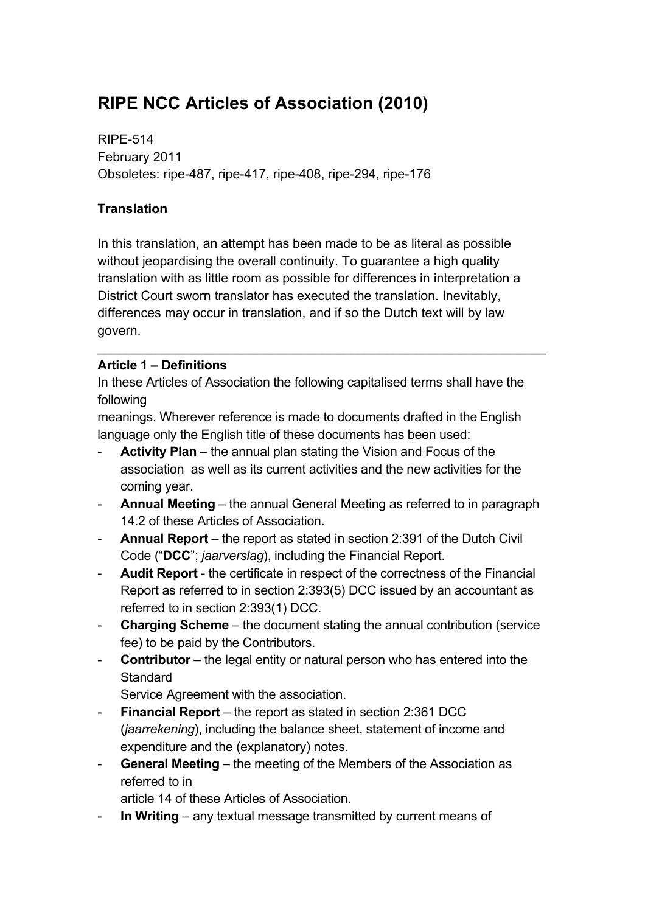# **RIPE NCC Articles of Association (2010)**

RIPE-514 February 2011 Obsoletes: ripe-487, ripe-417, ripe-408, ripe-294, ripe-176

### **Translation**

In this translation, an attempt has been made to be as literal as possible without jeopardising the overall continuity. To quarantee a high quality translation with as little room as possible for differences in interpretation a District Court sworn translator has executed the translation. Inevitably, differences may occur in translation, and if so the Dutch text will by law govern.

#### **Article 1 – Definitions**

In these Articles of Association the following capitalised terms shall have the following

 $\mathcal{L}_\text{max}$  , and the contract of the contract of the contract of the contract of the contract of the contract of

meanings. Wherever reference is made to documents drafted in the English language only the English title of these documents has been used:

- Activity Plan the annual plan stating the Vision and Focus of the association as well as its current activities and the new activities for the coming year.
- **Annual Meeting** the annual General Meeting as referred to in paragraph 14.2 of these Articles of Association.
- **Annual Report**  the report as stated in section 2:391 of the Dutch Civil Code ("**DCC**"; *jaarverslag*), including the Financial Report.
- **Audit Report** the certificate in respect of the correctness of the Financial Report as referred to in section 2:393(5) DCC issued by an accountant as referred to in section 2:393(1) DCC.
- **Charging Scheme** the document stating the annual contribution (service fee) to be paid by the Contributors.
- **Contributor** the legal entity or natural person who has entered into the **Standard**

Service Agreement with the association.

- **Financial Report** the report as stated in section 2:361 DCC (*jaarrekening*), including the balance sheet, statement of income and expenditure and the (explanatory) notes.
- **General Meeting** the meeting of the Members of the Association as referred to in

article 14 of these Articles of Association.

- **In Writing** – any textual message transmitted by current means of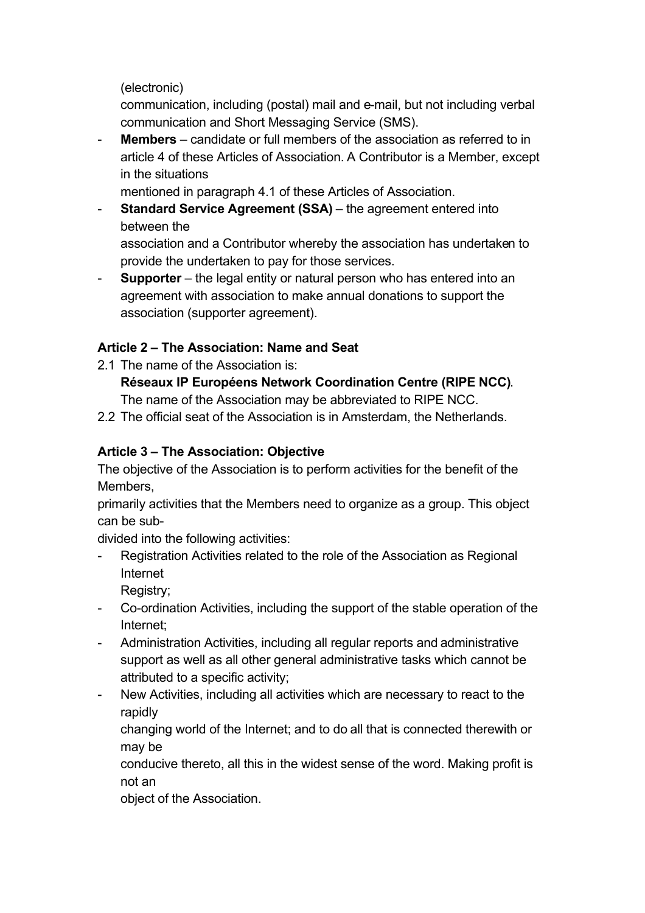(electronic)

communication, including (postal) mail and e-mail, but not including verbal communication and Short Messaging Service (SMS).

**Members** – candidate or full members of the association as referred to in article 4 of these Articles of Association. A Contributor is a Member, except in the situations

mentioned in paragraph 4.1 of these Articles of Association.

- **Standard Service Agreement (SSA)** – the agreement entered into between the

association and a Contributor whereby the association has undertaken to provide the undertaken to pay for those services.

**Supporter** – the legal entity or natural person who has entered into an agreement with association to make annual donations to support the association (supporter agreement).

# **Article 2 – The Association: Name and Seat**

2.1 The name of the Association is: **Réseaux IP Européens Network Coordination Centre (RIPE NCC)**.

The name of the Association may be abbreviated to RIPE NCC.

2.2 The official seat of the Association is in Amsterdam, the Netherlands.

# **Article 3 – The Association: Objective**

The objective of the Association is to perform activities for the benefit of the Members,

primarily activities that the Members need to organize as a group. This object can be sub-

divided into the following activities:

- Registration Activities related to the role of the Association as Regional Internet

Registry;

- Co-ordination Activities, including the support of the stable operation of the Internet;
- Administration Activities, including all regular reports and administrative support as well as all other general administrative tasks which cannot be attributed to a specific activity;
- New Activities, including all activities which are necessary to react to the rapidly

changing world of the Internet; and to do all that is connected therewith or may be

conducive thereto, all this in the widest sense of the word. Making profit is not an

object of the Association.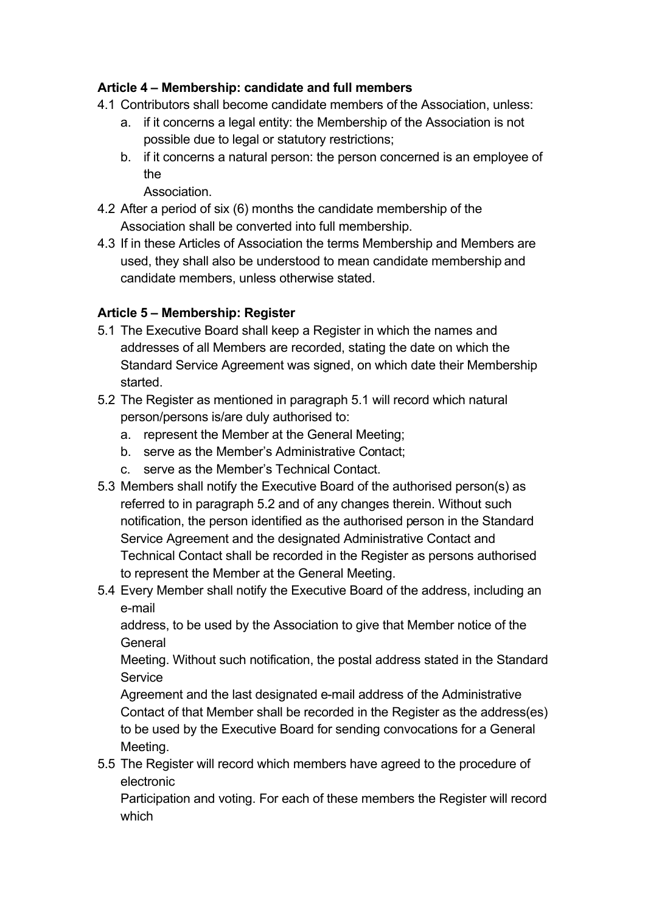### **Article 4 – Membership: candidate and full members**

- 4.1 Contributors shall become candidate members of the Association, unless:
	- a. if it concerns a legal entity: the Membership of the Association is not possible due to legal or statutory restrictions;
	- b. if it concerns a natural person: the person concerned is an employee of the

Association.

- 4.2 After a period of six (6) months the candidate membership of the Association shall be converted into full membership.
- 4.3 If in these Articles of Association the terms Membership and Members are used, they shall also be understood to mean candidate membership and candidate members, unless otherwise stated.

# **Article 5 – Membership: Register**

- 5.1 The Executive Board shall keep a Register in which the names and addresses of all Members are recorded, stating the date on which the Standard Service Agreement was signed, on which date their Membership started.
- 5.2 The Register as mentioned in paragraph 5.1 will record which natural person/persons is/are duly authorised to:
	- a. represent the Member at the General Meeting;
	- b. serve as the Member's Administrative Contact;
	- c. serve as the Member's Technical Contact.
- 5.3 Members shall notify the Executive Board of the authorised person(s) as referred to in paragraph 5.2 and of any changes therein. Without such notification, the person identified as the authorised person in the Standard Service Agreement and the designated Administrative Contact and Technical Contact shall be recorded in the Register as persons authorised to represent the Member at the General Meeting.
- 5.4 Every Member shall notify the Executive Board of the address, including an e-mail

address, to be used by the Association to give that Member notice of the **General** 

Meeting. Without such notification, the postal address stated in the Standard **Service** 

Agreement and the last designated e-mail address of the Administrative Contact of that Member shall be recorded in the Register as the address(es) to be used by the Executive Board for sending convocations for a General Meeting.

5.5 The Register will record which members have agreed to the procedure of electronic

Participation and voting. For each of these members the Register will record which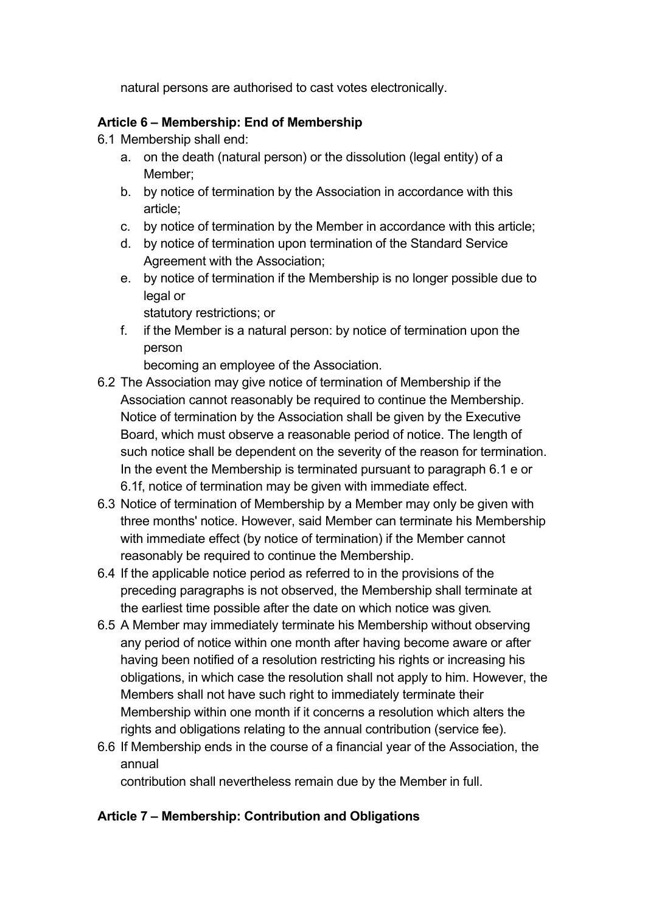natural persons are authorised to cast votes electronically.

### **Article 6 – Membership: End of Membership**

- 6.1 Membership shall end:
	- a. on the death (natural person) or the dissolution (legal entity) of a Member;
	- b. by notice of termination by the Association in accordance with this article;
	- c. by notice of termination by the Member in accordance with this article;
	- d. by notice of termination upon termination of the Standard Service Agreement with the Association;
	- e. by notice of termination if the Membership is no longer possible due to legal or

statutory restrictions; or

f. if the Member is a natural person: by notice of termination upon the person

becoming an employee of the Association.

- 6.2 The Association may give notice of termination of Membership if the Association cannot reasonably be required to continue the Membership. Notice of termination by the Association shall be given by the Executive Board, which must observe a reasonable period of notice. The length of such notice shall be dependent on the severity of the reason for termination. In the event the Membership is terminated pursuant to paragraph 6.1 e or 6.1f, notice of termination may be given with immediate effect.
- 6.3 Notice of termination of Membership by a Member may only be given with three months' notice. However, said Member can terminate his Membership with immediate effect (by notice of termination) if the Member cannot reasonably be required to continue the Membership.
- 6.4 If the applicable notice period as referred to in the provisions of the preceding paragraphs is not observed, the Membership shall terminate at the earliest time possible after the date on which notice was given.
- 6.5 A Member may immediately terminate his Membership without observing any period of notice within one month after having become aware or after having been notified of a resolution restricting his rights or increasing his obligations, in which case the resolution shall not apply to him. However, the Members shall not have such right to immediately terminate their Membership within one month if it concerns a resolution which alters the rights and obligations relating to the annual contribution (service fee).
- 6.6 If Membership ends in the course of a financial year of the Association, the annual

contribution shall nevertheless remain due by the Member in full.

# **Article 7 – Membership: Contribution and Obligations**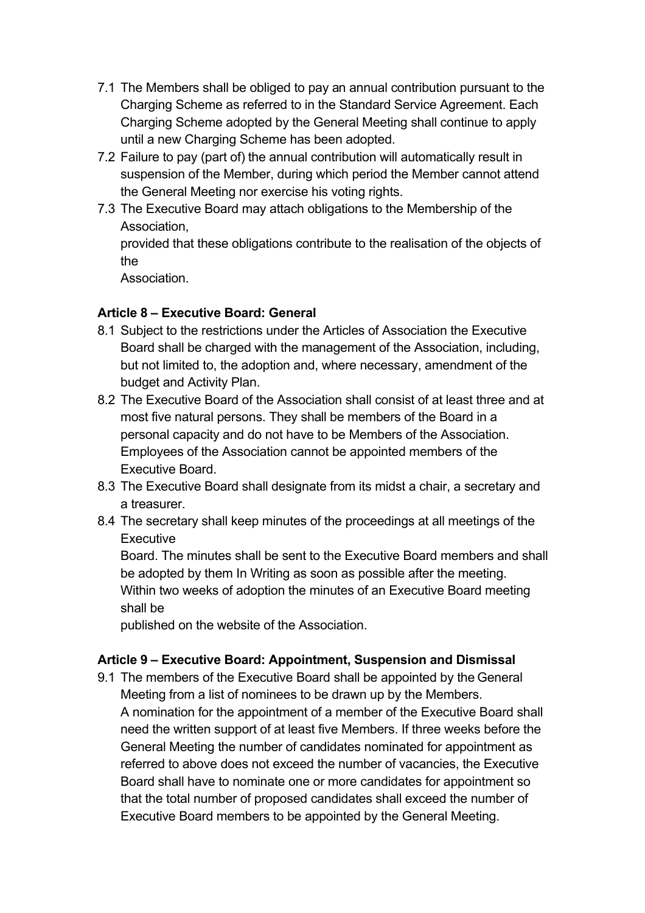- 7.1 The Members shall be obliged to pay an annual contribution pursuant to the Charging Scheme as referred to in the Standard Service Agreement. Each Charging Scheme adopted by the General Meeting shall continue to apply until a new Charging Scheme has been adopted.
- 7.2 Failure to pay (part of) the annual contribution will automatically result in suspension of the Member, during which period the Member cannot attend the General Meeting nor exercise his voting rights.
- 7.3 The Executive Board may attach obligations to the Membership of the Association,

provided that these obligations contribute to the realisation of the objects of the

**Association** 

#### **Article 8 – Executive Board: General**

- 8.1 Subject to the restrictions under the Articles of Association the Executive Board shall be charged with the management of the Association, including, but not limited to, the adoption and, where necessary, amendment of the budget and Activity Plan.
- 8.2 The Executive Board of the Association shall consist of at least three and at most five natural persons. They shall be members of the Board in a personal capacity and do not have to be Members of the Association. Employees of the Association cannot be appointed members of the Executive Board.
- 8.3 The Executive Board shall designate from its midst a chair, a secretary and a treasurer.
- 8.4 The secretary shall keep minutes of the proceedings at all meetings of the **Executive**

Board. The minutes shall be sent to the Executive Board members and shall be adopted by them In Writing as soon as possible after the meeting. Within two weeks of adoption the minutes of an Executive Board meeting shall be

published on the website of the Association.

#### **Article 9 – Executive Board: Appointment, Suspension and Dismissal**

9.1 The members of the Executive Board shall be appointed by the General Meeting from a list of nominees to be drawn up by the Members. A nomination for the appointment of a member of the Executive Board shall need the written support of at least five Members. If three weeks before the General Meeting the number of candidates nominated for appointment as referred to above does not exceed the number of vacancies, the Executive Board shall have to nominate one or more candidates for appointment so that the total number of proposed candidates shall exceed the number of Executive Board members to be appointed by the General Meeting.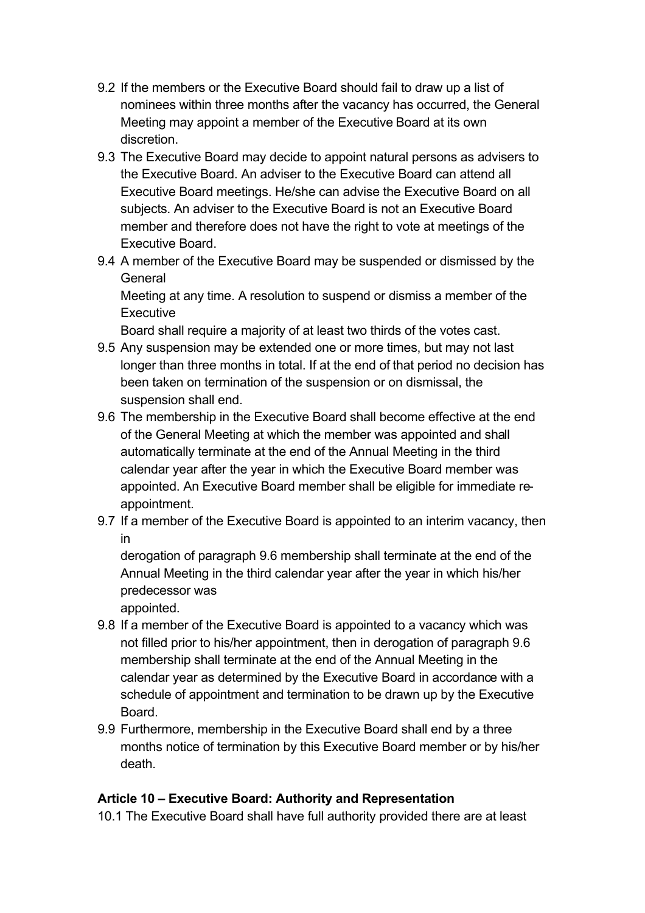- 9.2 If the members or the Executive Board should fail to draw up a list of nominees within three months after the vacancy has occurred, the General Meeting may appoint a member of the Executive Board at its own discretion.
- 9.3 The Executive Board may decide to appoint natural persons as advisers to the Executive Board. An adviser to the Executive Board can attend all Executive Board meetings. He/she can advise the Executive Board on all subjects. An adviser to the Executive Board is not an Executive Board member and therefore does not have the right to vote at meetings of the Executive Board.
- 9.4 A member of the Executive Board may be suspended or dismissed by the **General** Meeting at any time. A resolution to suspend or dismiss a member of the **Executive**

Board shall require a majority of at least two thirds of the votes cast.

- 9.5 Any suspension may be extended one or more times, but may not last longer than three months in total. If at the end of that period no decision has been taken on termination of the suspension or on dismissal, the suspension shall end.
- 9.6 The membership in the Executive Board shall become effective at the end of the General Meeting at which the member was appointed and shall automatically terminate at the end of the Annual Meeting in the third calendar year after the year in which the Executive Board member was appointed. An Executive Board member shall be eligible for immediate reappointment.
- 9.7 If a member of the Executive Board is appointed to an interim vacancy, then in

derogation of paragraph 9.6 membership shall terminate at the end of the Annual Meeting in the third calendar year after the year in which his/her predecessor was

appointed. 9.8 If a member of the Executive Board is appointed to a vacancy which was not filled prior to his/her appointment, then in derogation of paragraph 9.6

- membership shall terminate at the end of the Annual Meeting in the calendar year as determined by the Executive Board in accordance with a schedule of appointment and termination to be drawn up by the Executive Board.
- 9.9 Furthermore, membership in the Executive Board shall end by a three months notice of termination by this Executive Board member or by his/her death.

# **Article 10 – Executive Board: Authority and Representation**

10.1 The Executive Board shall have full authority provided there are at least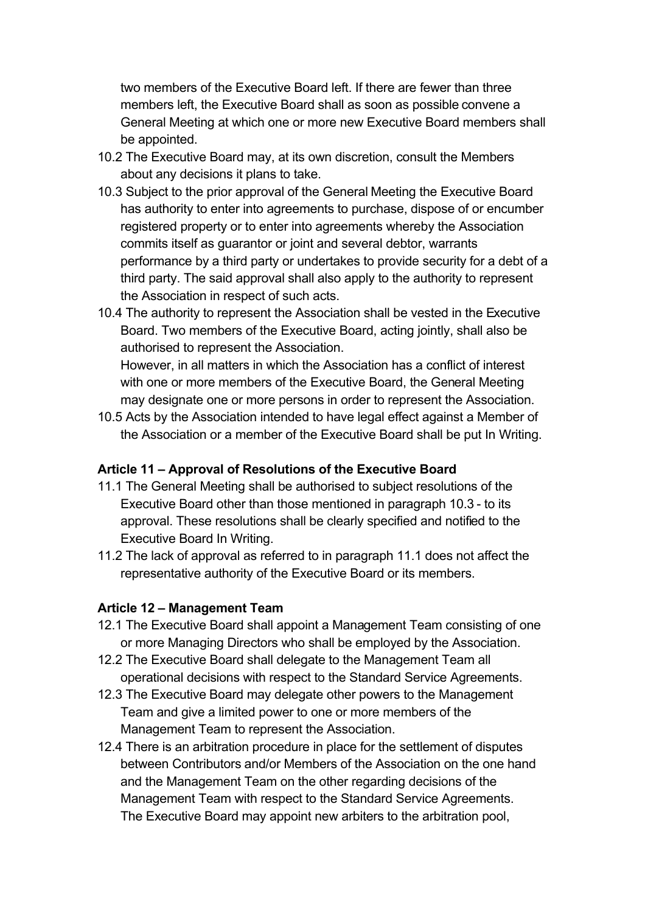two members of the Executive Board left. If there are fewer than three members left, the Executive Board shall as soon as possible convene a General Meeting at which one or more new Executive Board members shall be appointed.

- 10.2 The Executive Board may, at its own discretion, consult the Members about any decisions it plans to take.
- 10.3 Subject to the prior approval of the General Meeting the Executive Board has authority to enter into agreements to purchase, dispose of or encumber registered property or to enter into agreements whereby the Association commits itself as guarantor or joint and several debtor, warrants performance by a third party or undertakes to provide security for a debt of a third party. The said approval shall also apply to the authority to represent the Association in respect of such acts.
- 10.4 The authority to represent the Association shall be vested in the Executive Board. Two members of the Executive Board, acting jointly, shall also be authorised to represent the Association.

However, in all matters in which the Association has a conflict of interest with one or more members of the Executive Board, the General Meeting may designate one or more persons in order to represent the Association.

10.5 Acts by the Association intended to have legal effect against a Member of the Association or a member of the Executive Board shall be put In Writing.

#### **Article 11 – Approval of Resolutions of the Executive Board**

- 11.1 The General Meeting shall be authorised to subject resolutions of the Executive Board other than those mentioned in paragraph 10.3 - to its approval. These resolutions shall be clearly specified and notified to the Executive Board In Writing.
- 11.2 The lack of approval as referred to in paragraph 11.1 does not affect the representative authority of the Executive Board or its members.

#### **Article 12 – Management Team**

- 12.1 The Executive Board shall appoint a Management Team consisting of one or more Managing Directors who shall be employed by the Association.
- 12.2 The Executive Board shall delegate to the Management Team all operational decisions with respect to the Standard Service Agreements.
- 12.3 The Executive Board may delegate other powers to the Management Team and give a limited power to one or more members of the Management Team to represent the Association.
- 12.4 There is an arbitration procedure in place for the settlement of disputes between Contributors and/or Members of the Association on the one hand and the Management Team on the other regarding decisions of the Management Team with respect to the Standard Service Agreements. The Executive Board may appoint new arbiters to the arbitration pool,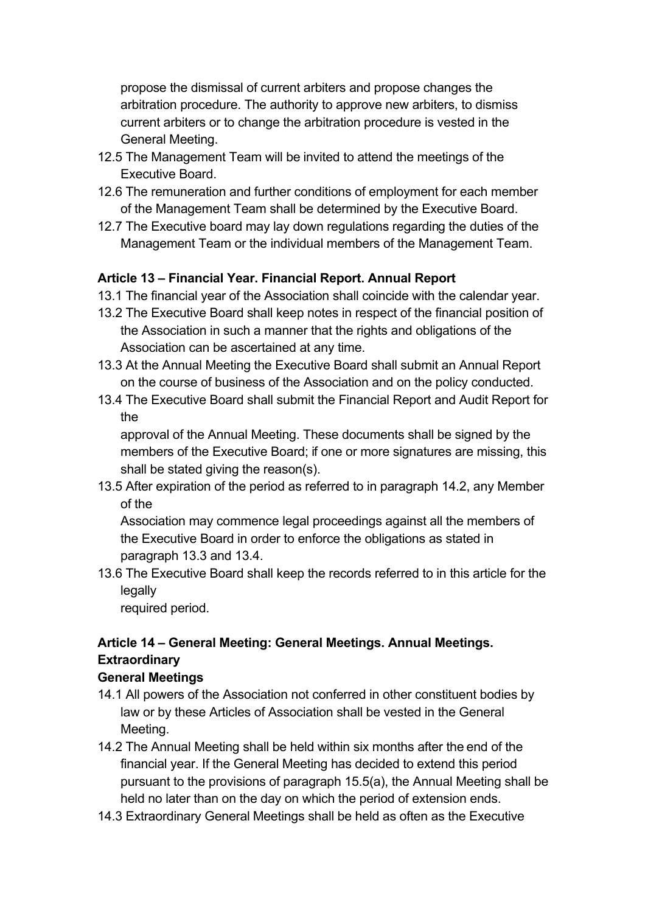propose the dismissal of current arbiters and propose changes the arbitration procedure. The authority to approve new arbiters, to dismiss current arbiters or to change the arbitration procedure is vested in the General Meeting.

- 12.5 The Management Team will be invited to attend the meetings of the Executive Board.
- 12.6 The remuneration and further conditions of employment for each member of the Management Team shall be determined by the Executive Board.
- 12.7 The Executive board may lay down regulations regarding the duties of the Management Team or the individual members of the Management Team.

#### **Article 13 – Financial Year. Financial Report. Annual Report**

- 13.1 The financial year of the Association shall coincide with the calendar year.
- 13.2 The Executive Board shall keep notes in respect of the financial position of the Association in such a manner that the rights and obligations of the Association can be ascertained at any time.
- 13.3 At the Annual Meeting the Executive Board shall submit an Annual Report on the course of business of the Association and on the policy conducted.
- 13.4 The Executive Board shall submit the Financial Report and Audit Report for the

approval of the Annual Meeting. These documents shall be signed by the members of the Executive Board; if one or more signatures are missing, this shall be stated giving the reason(s).

13.5 After expiration of the period as referred to in paragraph 14.2, any Member of the

Association may commence legal proceedings against all the members of the Executive Board in order to enforce the obligations as stated in paragraph 13.3 and 13.4.

13.6 The Executive Board shall keep the records referred to in this article for the legally

required period.

# **Article 14 – General Meeting: General Meetings. Annual Meetings. Extraordinary**

#### **General Meetings**

- 14.1 All powers of the Association not conferred in other constituent bodies by law or by these Articles of Association shall be vested in the General Meeting.
- 14.2 The Annual Meeting shall be held within six months after the end of the financial year. If the General Meeting has decided to extend this period pursuant to the provisions of paragraph 15.5(a), the Annual Meeting shall be held no later than on the day on which the period of extension ends.
- 14.3 Extraordinary General Meetings shall be held as often as the Executive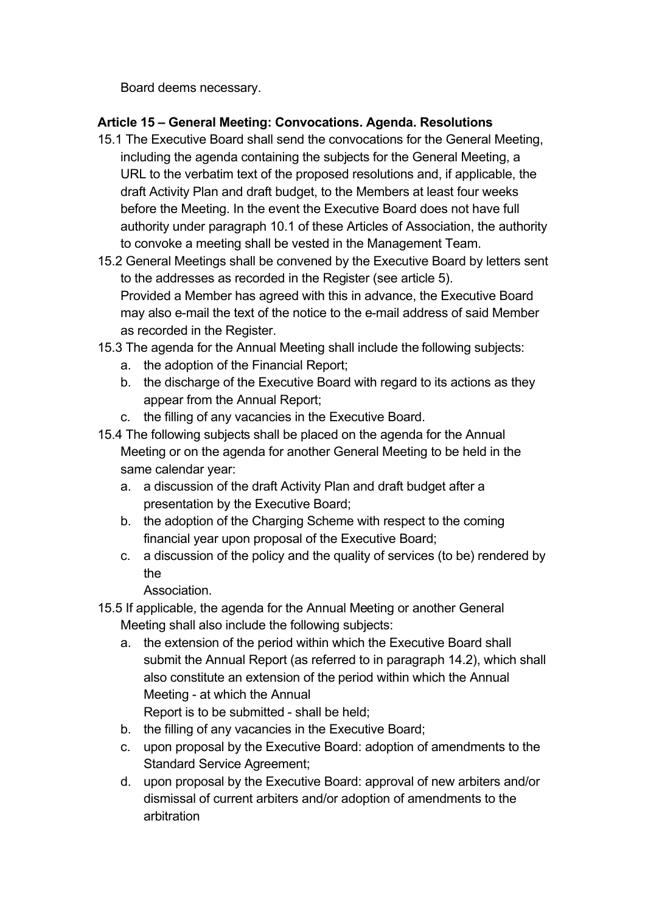Board deems necessary.

# **Article 15 – General Meeting: Convocations. Agenda. Resolutions**

- 15.1 The Executive Board shall send the convocations for the General Meeting, including the agenda containing the subjects for the General Meeting, a URL to the verbatim text of the proposed resolutions and, if applicable, the draft Activity Plan and draft budget, to the Members at least four weeks before the Meeting. In the event the Executive Board does not have full authority under paragraph 10.1 of these Articles of Association, the authority to convoke a meeting shall be vested in the Management Team.
- 15.2 General Meetings shall be convened by the Executive Board by letters sent to the addresses as recorded in the Register (see article 5). Provided a Member has agreed with this in advance, the Executive Board may also e-mail the text of the notice to the e-mail address of said Member as recorded in the Register.
- 15.3 The agenda for the Annual Meeting shall include the following subjects:
	- a. the adoption of the Financial Report;
	- b. the discharge of the Executive Board with regard to its actions as they appear from the Annual Report;
	- c. the filling of any vacancies in the Executive Board.
- 15.4 The following subjects shall be placed on the agenda for the Annual Meeting or on the agenda for another General Meeting to be held in the same calendar year:
	- a. a discussion of the draft Activity Plan and draft budget after a presentation by the Executive Board;
	- b. the adoption of the Charging Scheme with respect to the coming financial year upon proposal of the Executive Board;
	- c. a discussion of the policy and the quality of services (to be) rendered by the

**Association** 

- 15.5 If applicable, the agenda for the Annual Meeting or another General Meeting shall also include the following subjects:
	- a. the extension of the period within which the Executive Board shall submit the Annual Report (as referred to in paragraph 14.2), which shall also constitute an extension of the period within which the Annual Meeting - at which the Annual Report is to be submitted - shall be held;
	- b. the filling of any vacancies in the Executive Board;
	- c. upon proposal by the Executive Board: adoption of amendments to the Standard Service Agreement;
	- d. upon proposal by the Executive Board: approval of new arbiters and/or dismissal of current arbiters and/or adoption of amendments to the arbitration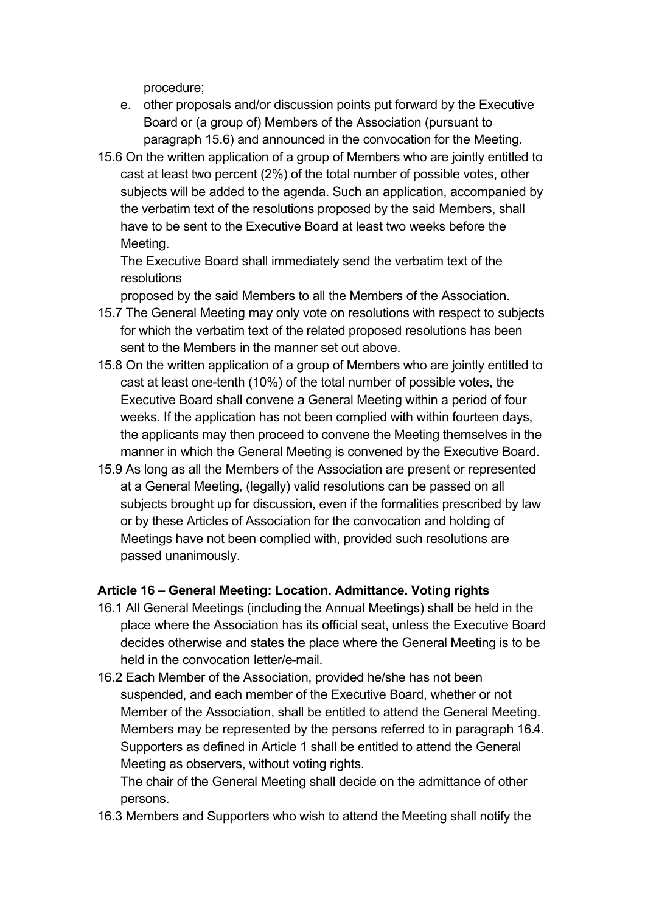procedure;

- e. other proposals and/or discussion points put forward by the Executive Board or (a group of) Members of the Association (pursuant to paragraph 15.6) and announced in the convocation for the Meeting.
- 15.6 On the written application of a group of Members who are jointly entitled to cast at least two percent (2%) of the total number of possible votes, other subjects will be added to the agenda. Such an application, accompanied by the verbatim text of the resolutions proposed by the said Members, shall have to be sent to the Executive Board at least two weeks before the Meeting.

The Executive Board shall immediately send the verbatim text of the resolutions

proposed by the said Members to all the Members of the Association.

- 15.7 The General Meeting may only vote on resolutions with respect to subjects for which the verbatim text of the related proposed resolutions has been sent to the Members in the manner set out above.
- 15.8 On the written application of a group of Members who are jointly entitled to cast at least one-tenth (10%) of the total number of possible votes, the Executive Board shall convene a General Meeting within a period of four weeks. If the application has not been complied with within fourteen days, the applicants may then proceed to convene the Meeting themselves in the manner in which the General Meeting is convened by the Executive Board.
- 15.9 As long as all the Members of the Association are present or represented at a General Meeting, (legally) valid resolutions can be passed on all subjects brought up for discussion, even if the formalities prescribed by law or by these Articles of Association for the convocation and holding of Meetings have not been complied with, provided such resolutions are passed unanimously.

#### **Article 16 – General Meeting: Location. Admittance. Voting rights**

- 16.1 All General Meetings (including the Annual Meetings) shall be held in the place where the Association has its official seat, unless the Executive Board decides otherwise and states the place where the General Meeting is to be held in the convocation letter/e-mail.
- 16.2 Each Member of the Association, provided he/she has not been suspended, and each member of the Executive Board, whether or not Member of the Association, shall be entitled to attend the General Meeting. Members may be represented by the persons referred to in paragraph 16.4. Supporters as defined in Article 1 shall be entitled to attend the General Meeting as observers, without voting rights.

The chair of the General Meeting shall decide on the admittance of other persons.

16.3 Members and Supporters who wish to attend the Meeting shall notify the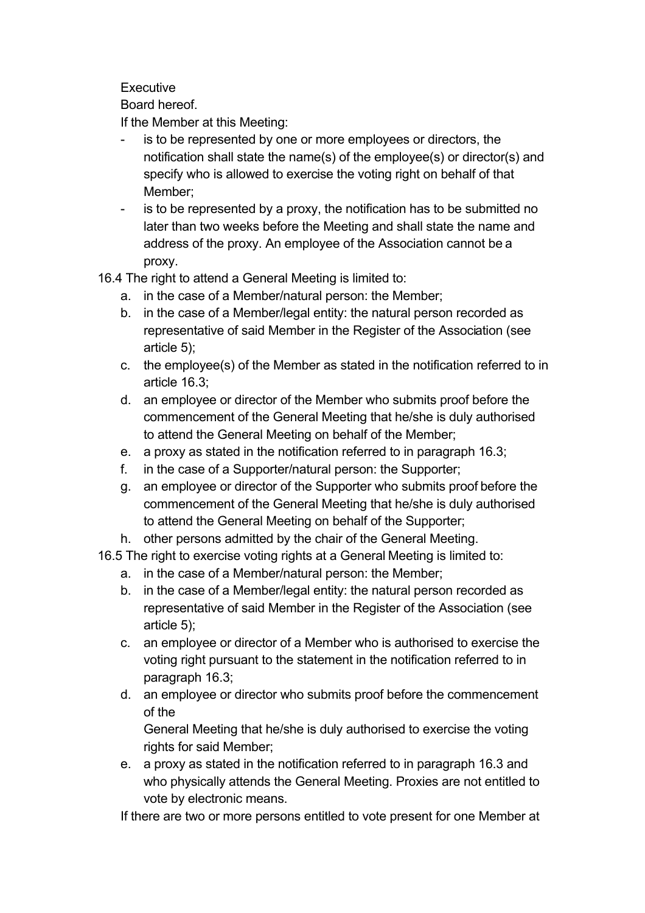**Executive** 

Board hereof.

If the Member at this Meeting:

- is to be represented by one or more employees or directors, the notification shall state the name(s) of the employee(s) or director(s) and specify who is allowed to exercise the voting right on behalf of that Member;
- is to be represented by a proxy, the notification has to be submitted no later than two weeks before the Meeting and shall state the name and address of the proxy. An employee of the Association cannot be a proxy.

16.4 The right to attend a General Meeting is limited to:

- a. in the case of a Member/natural person: the Member;
- b. in the case of a Member/legal entity: the natural person recorded as representative of said Member in the Register of the Association (see article 5);
- c. the employee(s) of the Member as stated in the notification referred to in article 16.3;
- d. an employee or director of the Member who submits proof before the commencement of the General Meeting that he/she is duly authorised to attend the General Meeting on behalf of the Member;
- e. a proxy as stated in the notification referred to in paragraph 16.3;
- f. in the case of a Supporter/natural person: the Supporter;
- g. an employee or director of the Supporter who submits proof before the commencement of the General Meeting that he/she is duly authorised to attend the General Meeting on behalf of the Supporter;
- h. other persons admitted by the chair of the General Meeting.
- 16.5 The right to exercise voting rights at a General Meeting is limited to:
	- a. in the case of a Member/natural person: the Member;
	- b. in the case of a Member/legal entity: the natural person recorded as representative of said Member in the Register of the Association (see article 5);
	- c. an employee or director of a Member who is authorised to exercise the voting right pursuant to the statement in the notification referred to in paragraph 16.3;
	- d. an employee or director who submits proof before the commencement of the

General Meeting that he/she is duly authorised to exercise the voting rights for said Member;

e. a proxy as stated in the notification referred to in paragraph 16.3 and who physically attends the General Meeting. Proxies are not entitled to vote by electronic means.

If there are two or more persons entitled to vote present for one Member at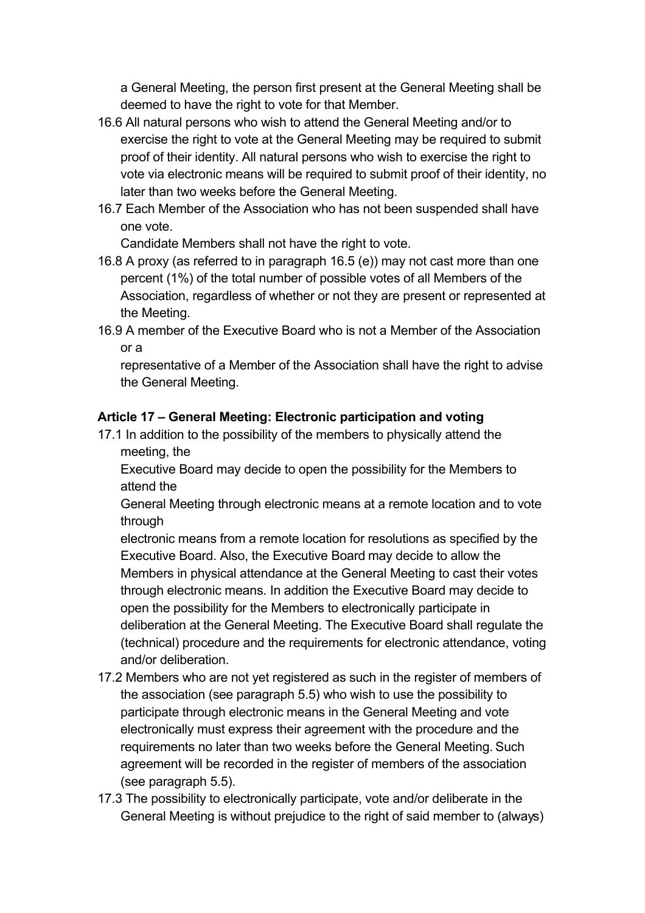a General Meeting, the person first present at the General Meeting shall be deemed to have the right to vote for that Member.

- 16.6 All natural persons who wish to attend the General Meeting and/or to exercise the right to vote at the General Meeting may be required to submit proof of their identity. All natural persons who wish to exercise the right to vote via electronic means will be required to submit proof of their identity, no later than two weeks before the General Meeting.
- 16.7 Each Member of the Association who has not been suspended shall have one vote.

Candidate Members shall not have the right to vote.

- 16.8 A proxy (as referred to in paragraph 16.5 (e)) may not cast more than one percent (1%) of the total number of possible votes of all Members of the Association, regardless of whether or not they are present or represented at the Meeting.
- 16.9 A member of the Executive Board who is not a Member of the Association or a

representative of a Member of the Association shall have the right to advise the General Meeting.

# **Article 17 – General Meeting: Electronic participation and voting**

17.1 In addition to the possibility of the members to physically attend the meeting, the

Executive Board may decide to open the possibility for the Members to attend the

General Meeting through electronic means at a remote location and to vote through

electronic means from a remote location for resolutions as specified by the Executive Board. Also, the Executive Board may decide to allow the Members in physical attendance at the General Meeting to cast their votes through electronic means. In addition the Executive Board may decide to open the possibility for the Members to electronically participate in deliberation at the General Meeting. The Executive Board shall regulate the (technical) procedure and the requirements for electronic attendance, voting and/or deliberation.

- 17.2 Members who are not yet registered as such in the register of members of the association (see paragraph 5.5) who wish to use the possibility to participate through electronic means in the General Meeting and vote electronically must express their agreement with the procedure and the requirements no later than two weeks before the General Meeting. Such agreement will be recorded in the register of members of the association (see paragraph 5.5).
- 17.3 The possibility to electronically participate, vote and/or deliberate in the General Meeting is without prejudice to the right of said member to (always)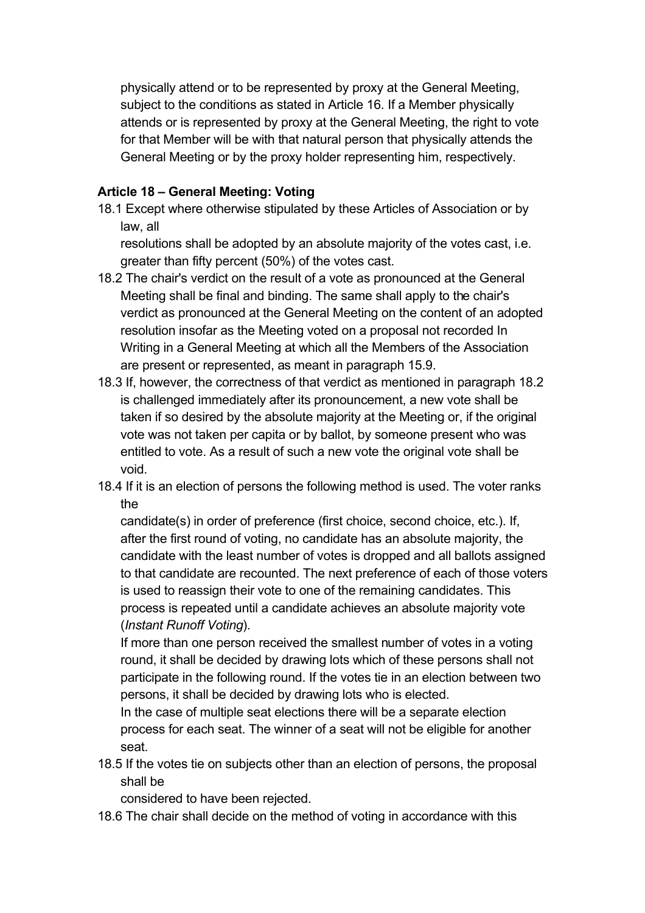physically attend or to be represented by proxy at the General Meeting, subject to the conditions as stated in Article 16. If a Member physically attends or is represented by proxy at the General Meeting, the right to vote for that Member will be with that natural person that physically attends the General Meeting or by the proxy holder representing him, respectively.

#### **Article 18 – General Meeting: Voting**

18.1 Except where otherwise stipulated by these Articles of Association or by law, all

resolutions shall be adopted by an absolute majority of the votes cast, i.e. greater than fifty percent (50%) of the votes cast.

- 18.2 The chair's verdict on the result of a vote as pronounced at the General Meeting shall be final and binding. The same shall apply to the chair's verdict as pronounced at the General Meeting on the content of an adopted resolution insofar as the Meeting voted on a proposal not recorded In Writing in a General Meeting at which all the Members of the Association are present or represented, as meant in paragraph 15.9.
- 18.3 If, however, the correctness of that verdict as mentioned in paragraph 18.2 is challenged immediately after its pronouncement, a new vote shall be taken if so desired by the absolute majority at the Meeting or, if the original vote was not taken per capita or by ballot, by someone present who was entitled to vote. As a result of such a new vote the original vote shall be void.
- 18.4 If it is an election of persons the following method is used. The voter ranks the

candidate(s) in order of preference (first choice, second choice, etc.). If, after the first round of voting, no candidate has an absolute majority, the candidate with the least number of votes is dropped and all ballots assigned to that candidate are recounted. The next preference of each of those voters is used to reassign their vote to one of the remaining candidates. This process is repeated until a candidate achieves an absolute majority vote (*Instant Runoff Voting*).

If more than one person received the smallest number of votes in a voting round, it shall be decided by drawing lots which of these persons shall not participate in the following round. If the votes tie in an election between two persons, it shall be decided by drawing lots who is elected.

In the case of multiple seat elections there will be a separate election process for each seat. The winner of a seat will not be eligible for another seat.

18.5 If the votes tie on subjects other than an election of persons, the proposal shall be

considered to have been rejected.

18.6 The chair shall decide on the method of voting in accordance with this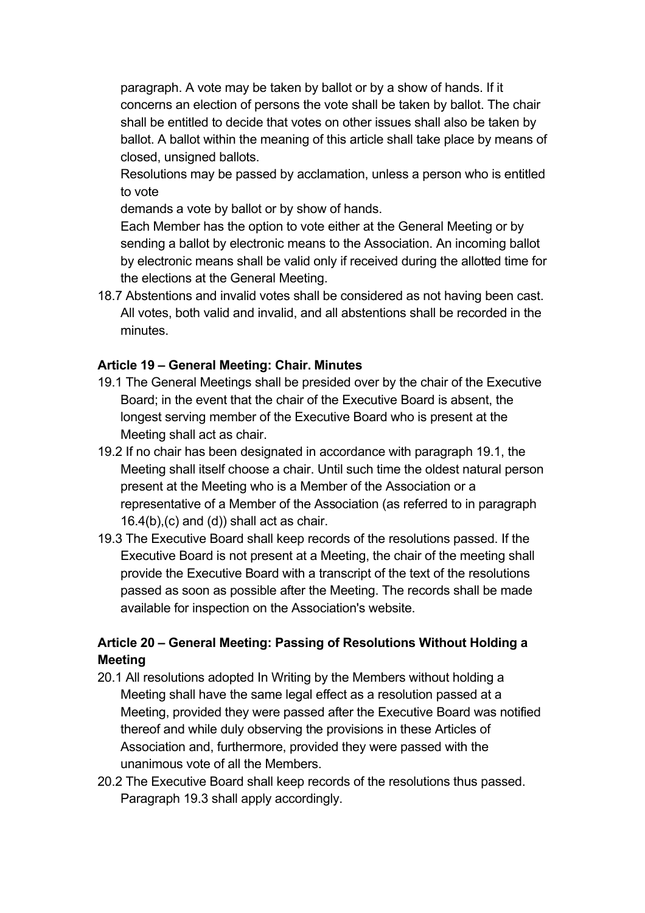paragraph. A vote may be taken by ballot or by a show of hands. If it concerns an election of persons the vote shall be taken by ballot. The chair shall be entitled to decide that votes on other issues shall also be taken by ballot. A ballot within the meaning of this article shall take place by means of closed, unsigned ballots.

Resolutions may be passed by acclamation, unless a person who is entitled to vote

demands a vote by ballot or by show of hands.

Each Member has the option to vote either at the General Meeting or by sending a ballot by electronic means to the Association. An incoming ballot by electronic means shall be valid only if received during the allotted time for the elections at the General Meeting.

18.7 Abstentions and invalid votes shall be considered as not having been cast. All votes, both valid and invalid, and all abstentions shall be recorded in the minutes.

#### **Article 19 – General Meeting: Chair. Minutes**

- 19.1 The General Meetings shall be presided over by the chair of the Executive Board; in the event that the chair of the Executive Board is absent, the longest serving member of the Executive Board who is present at the Meeting shall act as chair.
- 19.2 If no chair has been designated in accordance with paragraph 19.1, the Meeting shall itself choose a chair. Until such time the oldest natural person present at the Meeting who is a Member of the Association or a representative of a Member of the Association (as referred to in paragraph  $16.4(b)$ , (c) and (d)) shall act as chair.
- 19.3 The Executive Board shall keep records of the resolutions passed. If the Executive Board is not present at a Meeting, the chair of the meeting shall provide the Executive Board with a transcript of the text of the resolutions passed as soon as possible after the Meeting. The records shall be made available for inspection on the Association's website.

# **Article 20 – General Meeting: Passing of Resolutions Without Holding a Meeting**

- 20.1 All resolutions adopted In Writing by the Members without holding a Meeting shall have the same legal effect as a resolution passed at a Meeting, provided they were passed after the Executive Board was notified thereof and while duly observing the provisions in these Articles of Association and, furthermore, provided they were passed with the unanimous vote of all the Members.
- 20.2 The Executive Board shall keep records of the resolutions thus passed. Paragraph 19.3 shall apply accordingly.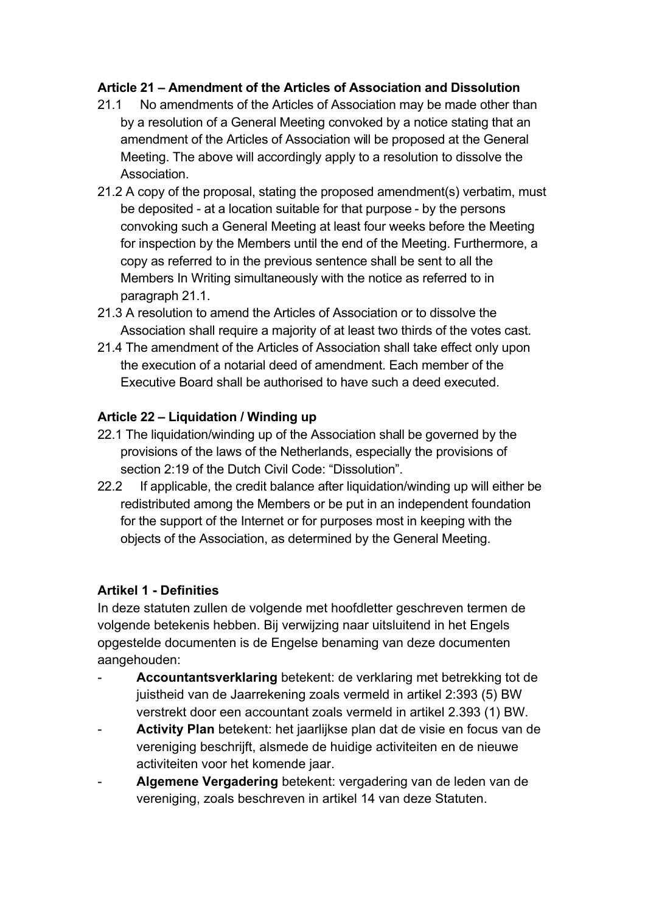### **Article 21 – Amendment of the Articles of Association and Dissolution**

- 21.1 No amendments of the Articles of Association may be made other than by a resolution of a General Meeting convoked by a notice stating that an amendment of the Articles of Association will be proposed at the General Meeting. The above will accordingly apply to a resolution to dissolve the Association.
- 21.2 A copy of the proposal, stating the proposed amendment(s) verbatim, must be deposited - at a location suitable for that purpose - by the persons convoking such a General Meeting at least four weeks before the Meeting for inspection by the Members until the end of the Meeting. Furthermore, a copy as referred to in the previous sentence shall be sent to all the Members In Writing simultaneously with the notice as referred to in paragraph 21.1.
- 21.3 A resolution to amend the Articles of Association or to dissolve the Association shall require a majority of at least two thirds of the votes cast.
- 21.4 The amendment of the Articles of Association shall take effect only upon the execution of a notarial deed of amendment. Each member of the Executive Board shall be authorised to have such a deed executed.

### **Article 22 – Liquidation / Winding up**

- 22.1 The liquidation/winding up of the Association shall be governed by the provisions of the laws of the Netherlands, especially the provisions of section 2:19 of the Dutch Civil Code: "Dissolution".
- 22.2 If applicable, the credit balance after liquidation/winding up will either be redistributed among the Members or be put in an independent foundation for the support of the Internet or for purposes most in keeping with the objects of the Association, as determined by the General Meeting.

#### **Artikel 1 - Definities**

In deze statuten zullen de volgende met hoofdletter geschreven termen de volgende betekenis hebben. Bij verwijzing naar uitsluitend in het Engels opgestelde documenten is de Engelse benaming van deze documenten aangehouden:

- **Accountantsverklaring** betekent: de verklaring met betrekking tot de juistheid van de Jaarrekening zoals vermeld in artikel 2:393 (5) BW verstrekt door een accountant zoals vermeld in artikel 2.393 (1) BW.
- Activity Plan betekent: het jaarlijkse plan dat de visie en focus van de vereniging beschrijft, alsmede de huidige activiteiten en de nieuwe activiteiten voor het komende jaar.
- **Algemene Vergadering** betekent: vergadering van de leden van de vereniging, zoals beschreven in artikel 14 van deze Statuten.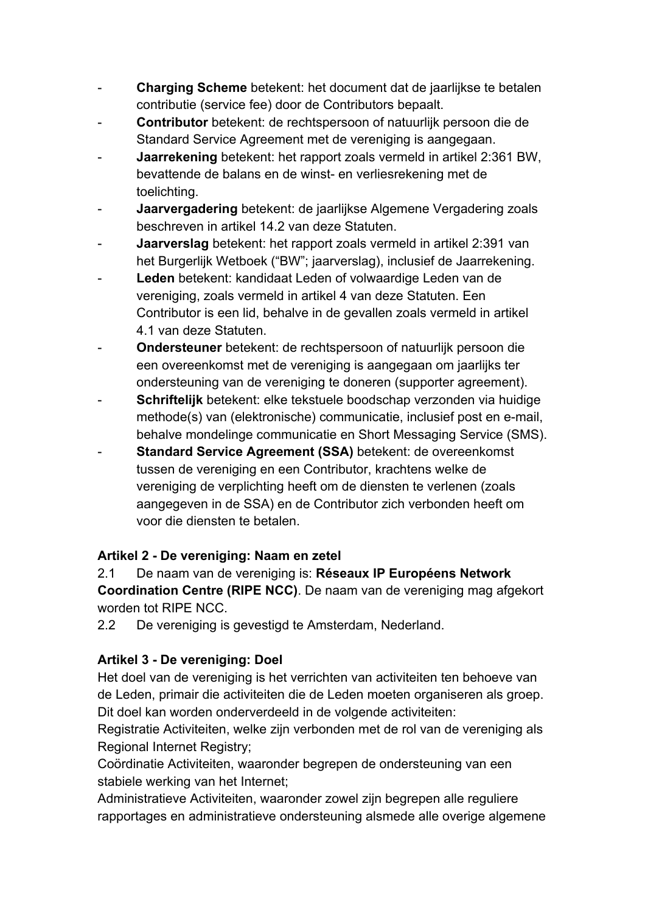- **Charging Scheme** betekent: het document dat de jaarlijkse te betalen contributie (service fee) door de Contributors bepaalt.
- **Contributor** betekent: de rechtspersoon of natuurlijk persoon die de Standard Service Agreement met de vereniging is aangegaan.
- **Jaarrekening** betekent: het rapport zoals vermeld in artikel 2:361 BW, bevattende de balans en de winst- en verliesrekening met de toelichting.
- **Jaarvergadering** betekent: de jaarlijkse Algemene Vergadering zoals beschreven in artikel 14.2 van deze Statuten.
- **Jaarverslag** betekent: het rapport zoals vermeld in artikel 2:391 van het Burgerlijk Wetboek ("BW"; jaarverslag), inclusief de Jaarrekening.
- Leden betekent: kandidaat Leden of volwaardige Leden van de vereniging, zoals vermeld in artikel 4 van deze Statuten. Een Contributor is een lid, behalve in de gevallen zoals vermeld in artikel 4.1 van deze Statuten.
- **Ondersteuner** betekent: de rechtspersoon of natuurlijk persoon die een overeenkomst met de vereniging is aangegaan om jaarlijks ter ondersteuning van de vereniging te doneren (supporter agreement).
- Schriftelijk betekent: elke tekstuele boodschap verzonden via huidige methode(s) van (elektronische) communicatie, inclusief post en e-mail, behalve mondelinge communicatie en Short Messaging Service (SMS).
- Standard Service Agreement (SSA) betekent: de overeenkomst tussen de vereniging en een Contributor, krachtens welke de vereniging de verplichting heeft om de diensten te verlenen (zoals aangegeven in de SSA) en de Contributor zich verbonden heeft om voor die diensten te betalen.

# **Artikel 2 - De vereniging: Naam en zetel**

2.1 De naam van de vereniging is: **Réseaux IP Européens Network Coordination Centre (RIPE NCC)**. De naam van de vereniging mag afgekort worden tot RIPE NCC.

2.2 De vereniging is gevestigd te Amsterdam, Nederland.

# **Artikel 3 - De vereniging: Doel**

Het doel van de vereniging is het verrichten van activiteiten ten behoeve van de Leden, primair die activiteiten die de Leden moeten organiseren als groep. Dit doel kan worden onderverdeeld in de volgende activiteiten:

Registratie Activiteiten, welke zijn verbonden met de rol van de vereniging als Regional Internet Registry;

Coördinatie Activiteiten, waaronder begrepen de ondersteuning van een stabiele werking van het Internet;

Administratieve Activiteiten, waaronder zowel zijn begrepen alle reguliere rapportages en administratieve ondersteuning alsmede alle overige algemene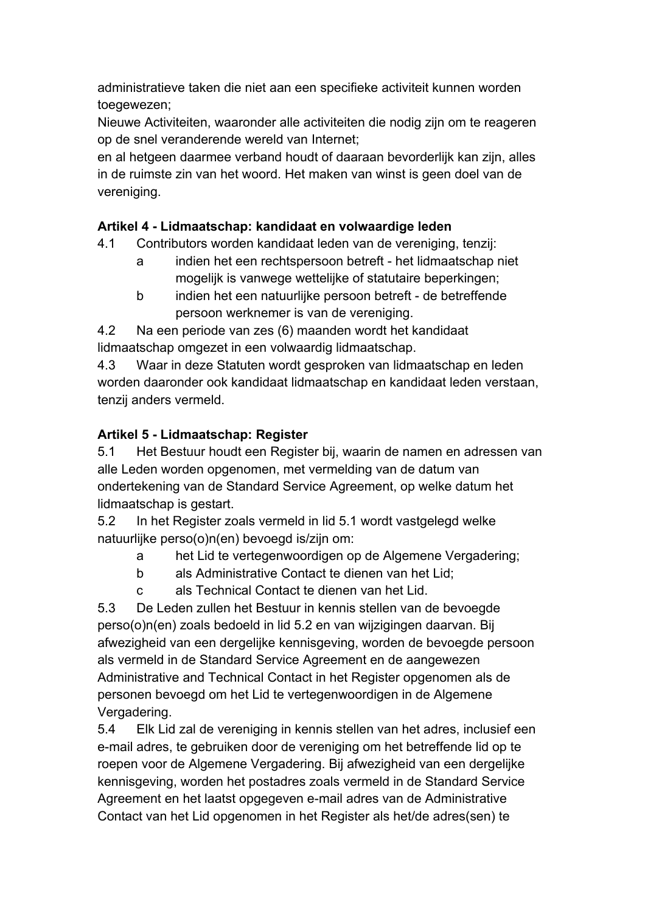administratieve taken die niet aan een specifieke activiteit kunnen worden toegewezen;

Nieuwe Activiteiten, waaronder alle activiteiten die nodig zijn om te reageren op de snel veranderende wereld van Internet;

en al hetgeen daarmee verband houdt of daaraan bevorderlijk kan zijn, alles in de ruimste zin van het woord. Het maken van winst is geen doel van de vereniging.

# **Artikel 4 - Lidmaatschap: kandidaat en volwaardige leden**

- 4.1 Contributors worden kandidaat leden van de vereniging, tenzij:
	- a indien het een rechtspersoon betreft het lidmaatschap niet mogelijk is vanwege wettelijke of statutaire beperkingen;
	- b indien het een natuurlijke persoon betreft de betreffende persoon werknemer is van de vereniging.

4.2 Na een periode van zes (6) maanden wordt het kandidaat lidmaatschap omgezet in een volwaardig lidmaatschap.

4.3 Waar in deze Statuten wordt gesproken van lidmaatschap en leden worden daaronder ook kandidaat lidmaatschap en kandidaat leden verstaan, tenzij anders vermeld.

# **Artikel 5 - Lidmaatschap: Register**

5.1 Het Bestuur houdt een Register bij, waarin de namen en adressen van alle Leden worden opgenomen, met vermelding van de datum van ondertekening van de Standard Service Agreement, op welke datum het lidmaatschap is gestart.

5.2 In het Register zoals vermeld in lid 5.1 wordt vastgelegd welke natuurlijke perso(o)n(en) bevoegd is/zijn om:

- a het Lid te vertegenwoordigen op de Algemene Vergadering;
- b als Administrative Contact te dienen van het Lid;
- c als Technical Contact te dienen van het Lid.

5.3 De Leden zullen het Bestuur in kennis stellen van de bevoegde perso(o)n(en) zoals bedoeld in lid 5.2 en van wijzigingen daarvan. Bij afwezigheid van een dergelijke kennisgeving, worden de bevoegde persoon als vermeld in de Standard Service Agreement en de aangewezen Administrative and Technical Contact in het Register opgenomen als de personen bevoegd om het Lid te vertegenwoordigen in de Algemene Vergadering.

5.4 Elk Lid zal de vereniging in kennis stellen van het adres, inclusief een e-mail adres, te gebruiken door de vereniging om het betreffende lid op te roepen voor de Algemene Vergadering. Bij afwezigheid van een dergelijke kennisgeving, worden het postadres zoals vermeld in de Standard Service Agreement en het laatst opgegeven e-mail adres van de Administrative Contact van het Lid opgenomen in het Register als het/de adres(sen) te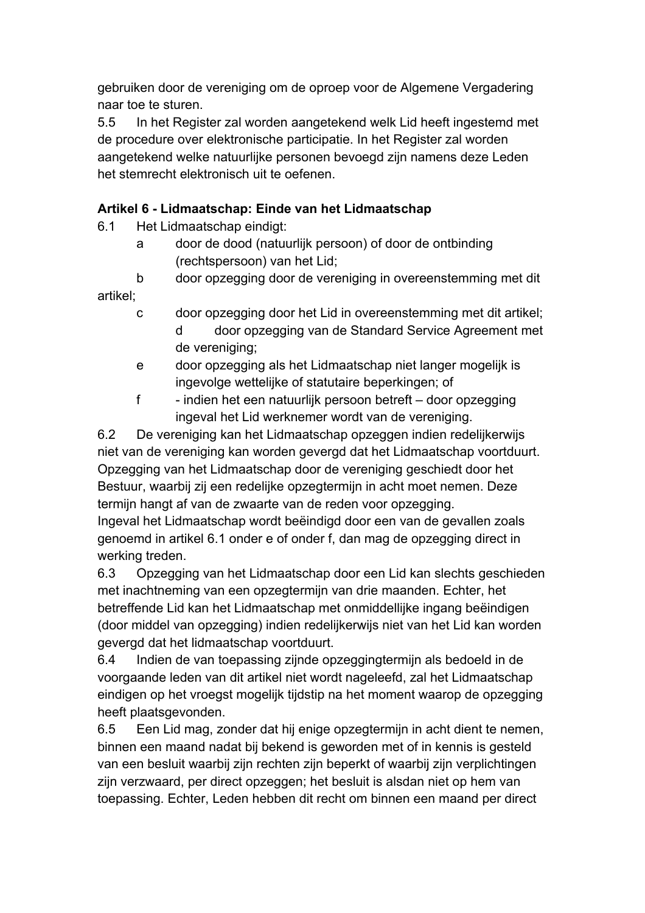gebruiken door de vereniging om de oproep voor de Algemene Vergadering naar toe te sturen.

5.5 In het Register zal worden aangetekend welk Lid heeft ingestemd met de procedure over elektronische participatie. In het Register zal worden aangetekend welke natuurlijke personen bevoegd zijn namens deze Leden het stemrecht elektronisch uit te oefenen.

# **Artikel 6 - Lidmaatschap: Einde van het Lidmaatschap**

6.1 Het Lidmaatschap eindigt:

a door de dood (natuurlijk persoon) of door de ontbinding (rechtspersoon) van het Lid;

b door opzegging door de vereniging in overeenstemming met dit artikel;

- c door opzegging door het Lid in overeenstemming met dit artikel; d door opzegging van de Standard Service Agreement met de vereniging;
- e door opzegging als het Lidmaatschap niet langer mogelijk is ingevolge wettelijke of statutaire beperkingen; of
- f indien het een natuurlijk persoon betreft door opzegging ingeval het Lid werknemer wordt van de vereniging.

6.2 De vereniging kan het Lidmaatschap opzeggen indien redelijkerwijs niet van de vereniging kan worden gevergd dat het Lidmaatschap voortduurt. Opzegging van het Lidmaatschap door de vereniging geschiedt door het Bestuur, waarbij zij een redelijke opzegtermijn in acht moet nemen. Deze termijn hangt af van de zwaarte van de reden voor opzegging. Ingeval het Lidmaatschap wordt beëindigd door een van de gevallen zoals

genoemd in artikel 6.1 onder e of onder f, dan mag de opzegging direct in werking treden.

6.3 Opzegging van het Lidmaatschap door een Lid kan slechts geschieden met inachtneming van een opzegtermijn van drie maanden. Echter, het betreffende Lid kan het Lidmaatschap met onmiddellijke ingang beëindigen (door middel van opzegging) indien redelijkerwijs niet van het Lid kan worden gevergd dat het lidmaatschap voortduurt.

6.4 Indien de van toepassing zijnde opzeggingtermijn als bedoeld in de voorgaande leden van dit artikel niet wordt nageleefd, zal het Lidmaatschap eindigen op het vroegst mogelijk tijdstip na het moment waarop de opzegging heeft plaatsgevonden.

6.5 Een Lid mag, zonder dat hij enige opzegtermijn in acht dient te nemen, binnen een maand nadat bij bekend is geworden met of in kennis is gesteld van een besluit waarbij zijn rechten zijn beperkt of waarbij zijn verplichtingen zijn verzwaard, per direct opzeggen; het besluit is alsdan niet op hem van toepassing. Echter, Leden hebben dit recht om binnen een maand per direct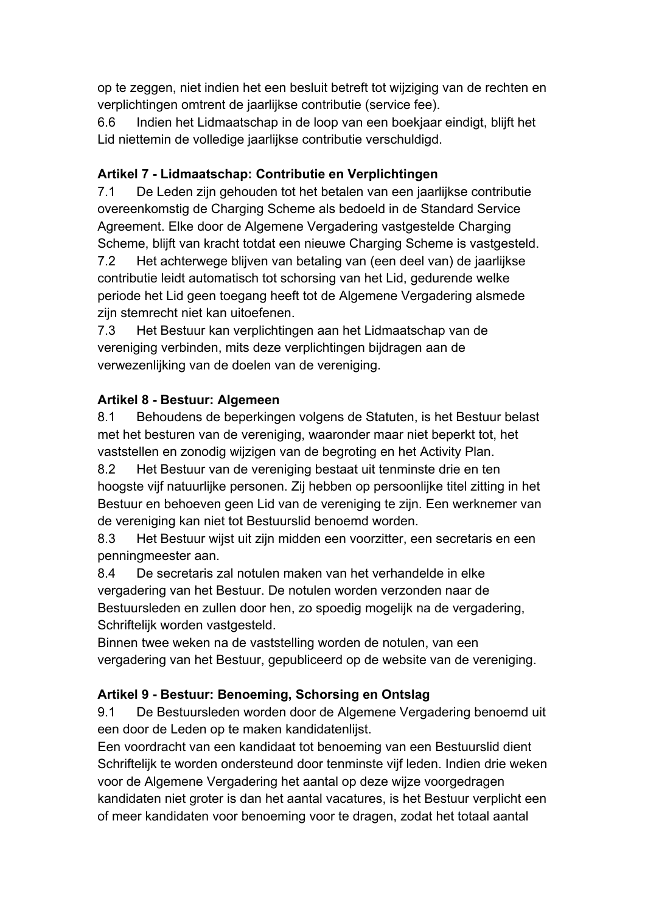op te zeggen, niet indien het een besluit betreft tot wijziging van de rechten en verplichtingen omtrent de jaarlijkse contributie (service fee).

6.6 Indien het Lidmaatschap in de loop van een boekjaar eindigt, blijft het Lid niettemin de volledige jaarlijkse contributie verschuldigd.

# **Artikel 7 - Lidmaatschap: Contributie en Verplichtingen**

7.1 De Leden zijn gehouden tot het betalen van een jaarlijkse contributie overeenkomstig de Charging Scheme als bedoeld in de Standard Service Agreement. Elke door de Algemene Vergadering vastgestelde Charging Scheme, blijft van kracht totdat een nieuwe Charging Scheme is vastgesteld. 7.2 Het achterwege blijven van betaling van (een deel van) de jaarlijkse contributie leidt automatisch tot schorsing van het Lid, gedurende welke periode het Lid geen toegang heeft tot de Algemene Vergadering alsmede zijn stemrecht niet kan uitoefenen.

7.3 Het Bestuur kan verplichtingen aan het Lidmaatschap van de vereniging verbinden, mits deze verplichtingen bijdragen aan de verwezenlijking van de doelen van de vereniging.

# **Artikel 8 - Bestuur: Algemeen**

8.1 Behoudens de beperkingen volgens de Statuten, is het Bestuur belast met het besturen van de vereniging, waaronder maar niet beperkt tot, het vaststellen en zonodig wijzigen van de begroting en het Activity Plan.

8.2 Het Bestuur van de vereniging bestaat uit tenminste drie en ten hoogste vijf natuurlijke personen. Zij hebben op persoonlijke titel zitting in het Bestuur en behoeven geen Lid van de vereniging te zijn. Een werknemer van de vereniging kan niet tot Bestuurslid benoemd worden.

8.3 Het Bestuur wijst uit zijn midden een voorzitter, een secretaris en een penningmeester aan.

8.4 De secretaris zal notulen maken van het verhandelde in elke vergadering van het Bestuur. De notulen worden verzonden naar de Bestuursleden en zullen door hen, zo spoedig mogelijk na de vergadering, Schriftelijk worden vastgesteld.

Binnen twee weken na de vaststelling worden de notulen, van een vergadering van het Bestuur, gepubliceerd op de website van de vereniging.

# **Artikel 9 - Bestuur: Benoeming, Schorsing en Ontslag**

9.1 De Bestuursleden worden door de Algemene Vergadering benoemd uit een door de Leden op te maken kandidatenlijst.

Een voordracht van een kandidaat tot benoeming van een Bestuurslid dient Schriftelijk te worden ondersteund door tenminste vijf leden. Indien drie weken voor de Algemene Vergadering het aantal op deze wijze voorgedragen kandidaten niet groter is dan het aantal vacatures, is het Bestuur verplicht een of meer kandidaten voor benoeming voor te dragen, zodat het totaal aantal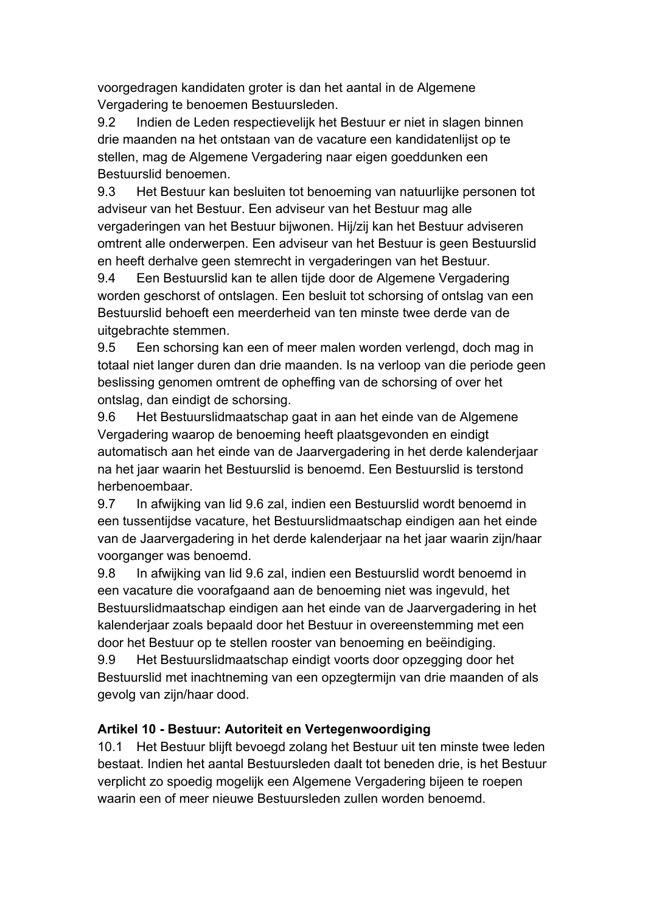voorgedragen kandidaten groter is dan het aantal in de Algemene Vergadering te benoemen Bestuursleden.

9.2 Indien de Leden respectievelijk het Bestuur er niet in slagen binnen drie maanden na het ontstaan van de vacature een kandidatenlijst op te stellen, mag de Algemene Vergadering naar eigen goeddunken een Bestuurslid benoemen.

9.3 Het Bestuur kan besluiten tot benoeming van natuurlijke personen tot adviseur van het Bestuur. Een adviseur van het Bestuur mag alle vergaderingen van het Bestuur bijwonen. Hij/zij kan het Bestuur adviseren omtrent alle onderwerpen. Een adviseur van het Bestuur is geen Bestuurslid en heeft derhalve geen stemrecht in vergaderingen van het Bestuur.

9.4 Een Bestuurslid kan te allen tijde door de Algemene Vergadering worden geschorst of ontslagen. Een besluit tot schorsing of ontslag van een Bestuurslid behoeft een meerderheid van ten minste twee derde van de uitgebrachte stemmen.

9.5 Een schorsing kan een of meer malen worden verlengd, doch mag in totaal niet langer duren dan drie maanden. Is na verloop van die periode geen beslissing genomen omtrent de opheffing van de schorsing of over het ontslag, dan eindigt de schorsing.

9.6 Het Bestuurslidmaatschap gaat in aan het einde van de Algemene Vergadering waarop de benoeming heeft plaatsgevonden en eindigt automatisch aan het einde van de Jaarvergadering in het derde kalenderjaar na het jaar waarin het Bestuurslid is benoemd. Een Bestuurslid is terstond herbenoembaar.

9.7 In afwijking van lid 9.6 zal, indien een Bestuurslid wordt benoemd in een tussentijdse vacature, het Bestuurslidmaatschap eindigen aan het einde van de Jaarvergadering in het derde kalenderjaar na het jaar waarin zijn/haar voorganger was benoemd.

9.8 In afwijking van lid 9.6 zal, indien een Bestuurslid wordt benoemd in een vacature die voorafgaand aan de benoeming niet was ingevuld, het Bestuurslidmaatschap eindigen aan het einde van de Jaarvergadering in het kalenderjaar zoals bepaald door het Bestuur in overeenstemming met een door het Bestuur op te stellen rooster van benoeming en beëindiging.

9.9 Het Bestuurslidmaatschap eindigt voorts door opzegging door het Bestuurslid met inachtneming van een opzegtermijn van drie maanden of als gevolg van zijn/haar dood.

# **Artikel 10 - Bestuur: Autoriteit en Vertegenwoordiging**

10.1 Het Bestuur blijft bevoegd zolang het Bestuur uit ten minste twee leden bestaat. Indien het aantal Bestuursleden daalt tot beneden drie, is het Bestuur verplicht zo spoedig mogelijk een Algemene Vergadering bijeen te roepen waarin een of meer nieuwe Bestuursleden zullen worden benoemd.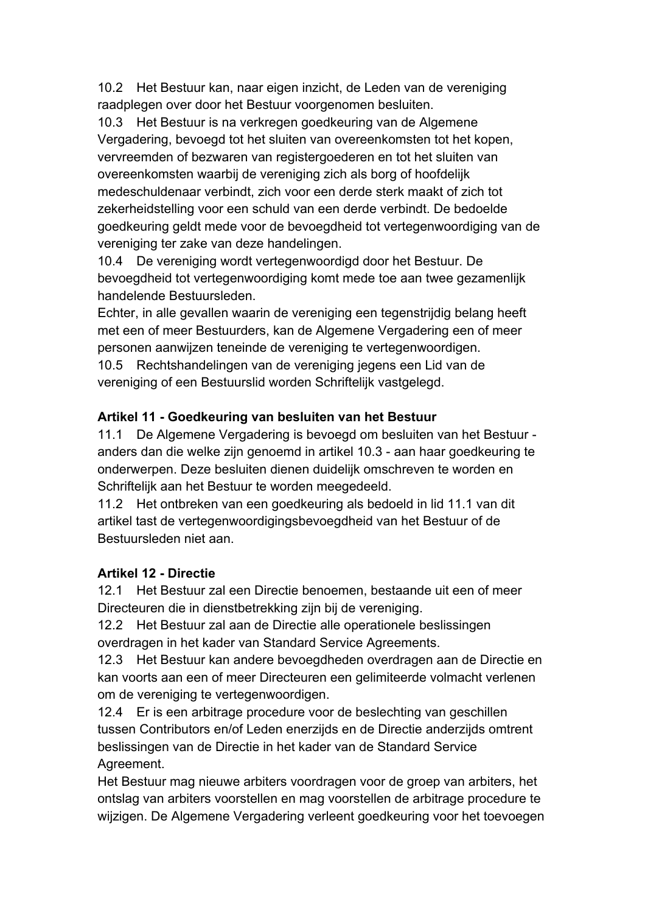10.2 Het Bestuur kan, naar eigen inzicht, de Leden van de vereniging raadplegen over door het Bestuur voorgenomen besluiten.

10.3 Het Bestuur is na verkregen goedkeuring van de Algemene Vergadering, bevoegd tot het sluiten van overeenkomsten tot het kopen, vervreemden of bezwaren van registergoederen en tot het sluiten van overeenkomsten waarbij de vereniging zich als borg of hoofdelijk medeschuldenaar verbindt, zich voor een derde sterk maakt of zich tot zekerheidstelling voor een schuld van een derde verbindt. De bedoelde goedkeuring geldt mede voor de bevoegdheid tot vertegenwoordiging van de vereniging ter zake van deze handelingen.

10.4 De vereniging wordt vertegenwoordigd door het Bestuur. De bevoegdheid tot vertegenwoordiging komt mede toe aan twee gezamenlijk handelende Bestuursleden.

Echter, in alle gevallen waarin de vereniging een tegenstrijdig belang heeft met een of meer Bestuurders, kan de Algemene Vergadering een of meer personen aanwijzen teneinde de vereniging te vertegenwoordigen.

10.5 Rechtshandelingen van de vereniging jegens een Lid van de vereniging of een Bestuurslid worden Schriftelijk vastgelegd.

### **Artikel 11 - Goedkeuring van besluiten van het Bestuur**

11.1 De Algemene Vergadering is bevoegd om besluiten van het Bestuur anders dan die welke zijn genoemd in artikel 10.3 - aan haar goedkeuring te onderwerpen. Deze besluiten dienen duidelijk omschreven te worden en Schriftelijk aan het Bestuur te worden meegedeeld.

11.2 Het ontbreken van een goedkeuring als bedoeld in lid 11.1 van dit artikel tast de vertegenwoordigingsbevoegdheid van het Bestuur of de Bestuursleden niet aan.

#### **Artikel 12 - Directie**

12.1 Het Bestuur zal een Directie benoemen, bestaande uit een of meer Directeuren die in dienstbetrekking zijn bij de vereniging.

12.2 Het Bestuur zal aan de Directie alle operationele beslissingen overdragen in het kader van Standard Service Agreements.

12.3 Het Bestuur kan andere bevoegdheden overdragen aan de Directie en kan voorts aan een of meer Directeuren een gelimiteerde volmacht verlenen om de vereniging te vertegenwoordigen.

12.4 Er is een arbitrage procedure voor de beslechting van geschillen tussen Contributors en/of Leden enerzijds en de Directie anderzijds omtrent beslissingen van de Directie in het kader van de Standard Service Agreement.

Het Bestuur mag nieuwe arbiters voordragen voor de groep van arbiters, het ontslag van arbiters voorstellen en mag voorstellen de arbitrage procedure te wijzigen. De Algemene Vergadering verleent goedkeuring voor het toevoegen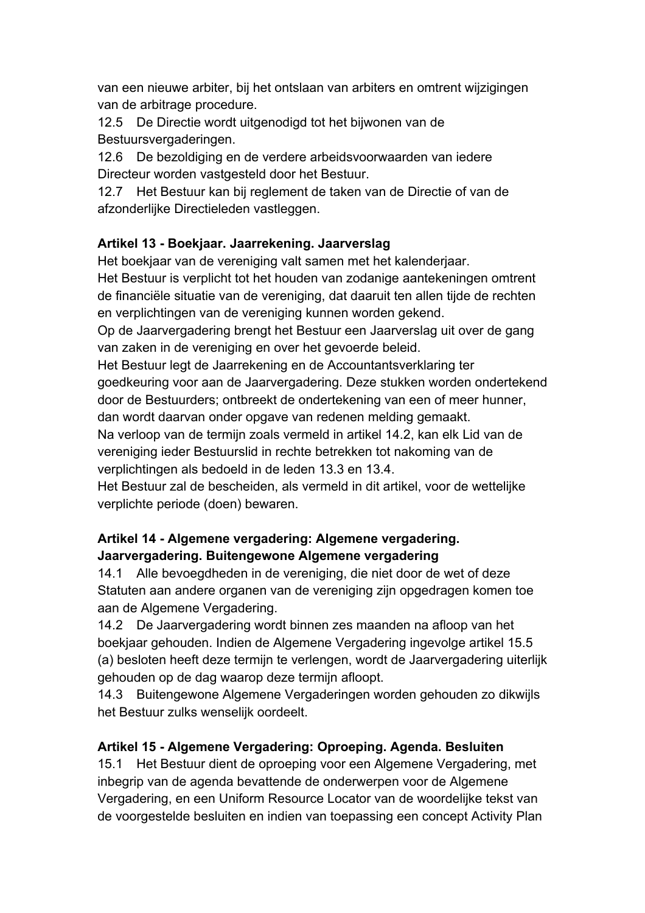van een nieuwe arbiter, bij het ontslaan van arbiters en omtrent wijzigingen van de arbitrage procedure.

12.5 De Directie wordt uitgenodigd tot het bijwonen van de Bestuursvergaderingen.

12.6 De bezoldiging en de verdere arbeidsvoorwaarden van iedere Directeur worden vastgesteld door het Bestuur.

12.7 Het Bestuur kan bij reglement de taken van de Directie of van de afzonderlijke Directieleden vastleggen.

# **Artikel 13 - Boekjaar. Jaarrekening. Jaarverslag**

Het boekjaar van de vereniging valt samen met het kalenderjaar.

Het Bestuur is verplicht tot het houden van zodanige aantekeningen omtrent de financiële situatie van de vereniging, dat daaruit ten allen tijde de rechten en verplichtingen van de vereniging kunnen worden gekend.

Op de Jaarvergadering brengt het Bestuur een Jaarverslag uit over de gang van zaken in de vereniging en over het gevoerde beleid.

Het Bestuur legt de Jaarrekening en de Accountantsverklaring ter goedkeuring voor aan de Jaarvergadering. Deze stukken worden ondertekend door de Bestuurders; ontbreekt de ondertekening van een of meer hunner, dan wordt daarvan onder opgave van redenen melding gemaakt.

Na verloop van de termijn zoals vermeld in artikel 14.2, kan elk Lid van de vereniging ieder Bestuurslid in rechte betrekken tot nakoming van de verplichtingen als bedoeld in de leden 13.3 en 13.4.

Het Bestuur zal de bescheiden, als vermeld in dit artikel, voor de wettelijke verplichte periode (doen) bewaren.

# **Artikel 14 - Algemene vergadering: Algemene vergadering. Jaarvergadering. Buitengewone Algemene vergadering**

14.1 Alle bevoegdheden in de vereniging, die niet door de wet of deze Statuten aan andere organen van de vereniging zijn opgedragen komen toe aan de Algemene Vergadering.

14.2 De Jaarvergadering wordt binnen zes maanden na afloop van het boekjaar gehouden. Indien de Algemene Vergadering ingevolge artikel 15.5 (a) besloten heeft deze termijn te verlengen, wordt de Jaarvergadering uiterlijk gehouden op de dag waarop deze termijn afloopt.

14.3 Buitengewone Algemene Vergaderingen worden gehouden zo dikwijls het Bestuur zulks wenselijk oordeelt.

# **Artikel 15 - Algemene Vergadering: Oproeping. Agenda. Besluiten**

15.1 Het Bestuur dient de oproeping voor een Algemene Vergadering, met inbegrip van de agenda bevattende de onderwerpen voor de Algemene Vergadering, en een Uniform Resource Locator van de woordelijke tekst van de voorgestelde besluiten en indien van toepassing een concept Activity Plan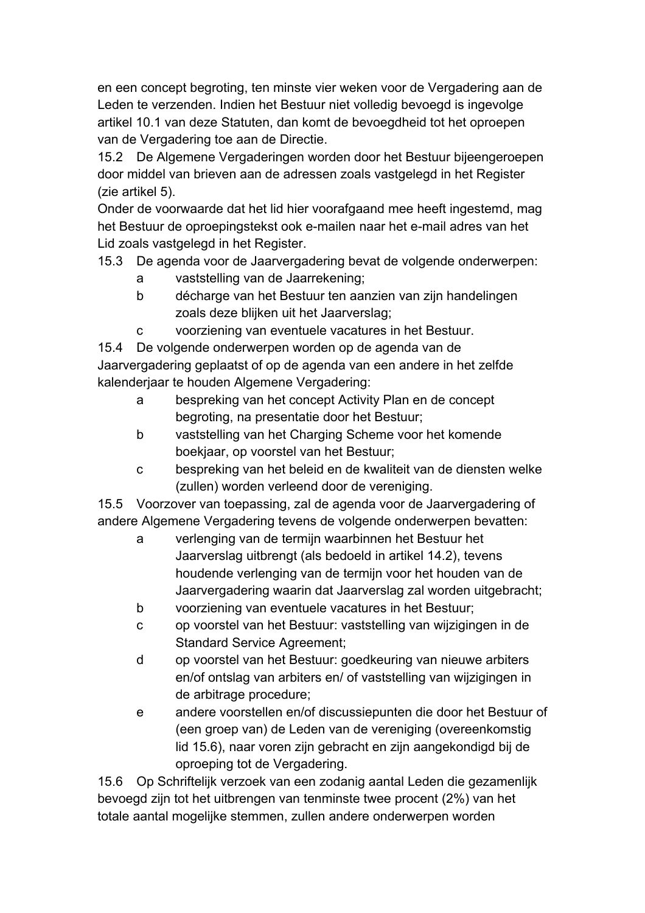en een concept begroting, ten minste vier weken voor de Vergadering aan de Leden te verzenden. Indien het Bestuur niet volledig bevoegd is ingevolge artikel 10.1 van deze Statuten, dan komt de bevoegdheid tot het oproepen van de Vergadering toe aan de Directie.

15.2 De Algemene Vergaderingen worden door het Bestuur bijeengeroepen door middel van brieven aan de adressen zoals vastgelegd in het Register (zie artikel 5).

Onder de voorwaarde dat het lid hier voorafgaand mee heeft ingestemd, mag het Bestuur de oproepingstekst ook e-mailen naar het e-mail adres van het Lid zoals vastgelegd in het Register.

15.3 De agenda voor de Jaarvergadering bevat de volgende onderwerpen:

- a vaststelling van de Jaarrekening;
- b décharge van het Bestuur ten aanzien van zijn handelingen zoals deze blijken uit het Jaarverslag;
- c voorziening van eventuele vacatures in het Bestuur.

15.4 De volgende onderwerpen worden op de agenda van de Jaarvergadering geplaatst of op de agenda van een andere in het zelfde kalenderjaar te houden Algemene Vergadering:

- a bespreking van het concept Activity Plan en de concept begroting, na presentatie door het Bestuur;
- b vaststelling van het Charging Scheme voor het komende boekjaar, op voorstel van het Bestuur;
- c bespreking van het beleid en de kwaliteit van de diensten welke (zullen) worden verleend door de vereniging.

15.5 Voorzover van toepassing, zal de agenda voor de Jaarvergadering of andere Algemene Vergadering tevens de volgende onderwerpen bevatten:

- a verlenging van de termijn waarbinnen het Bestuur het Jaarverslag uitbrengt (als bedoeld in artikel 14.2), tevens houdende verlenging van de termijn voor het houden van de Jaarvergadering waarin dat Jaarverslag zal worden uitgebracht;
- b voorziening van eventuele vacatures in het Bestuur;
- c op voorstel van het Bestuur: vaststelling van wijzigingen in de Standard Service Agreement;
- d op voorstel van het Bestuur: goedkeuring van nieuwe arbiters en/of ontslag van arbiters en/ of vaststelling van wijzigingen in de arbitrage procedure;
- e andere voorstellen en/of discussiepunten die door het Bestuur of (een groep van) de Leden van de vereniging (overeenkomstig lid 15.6), naar voren zijn gebracht en zijn aangekondigd bij de oproeping tot de Vergadering.

15.6 Op Schriftelijk verzoek van een zodanig aantal Leden die gezamenlijk bevoegd zijn tot het uitbrengen van tenminste twee procent (2%) van het totale aantal mogelijke stemmen, zullen andere onderwerpen worden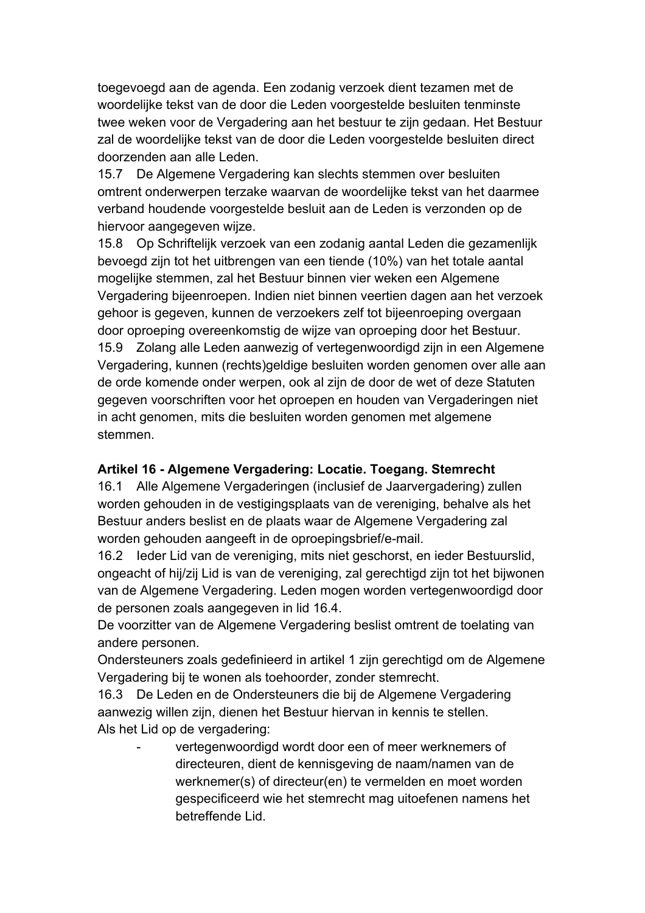toegevoegd aan de agenda. Een zodanig verzoek dient tezamen met de woordelijke tekst van de door die Leden voorgestelde besluiten tenminste twee weken voor de Vergadering aan het bestuur te zijn gedaan. Het Bestuur zal de woordelijke tekst van de door die Leden voorgestelde besluiten direct doorzenden aan alle Leden.

15.7 De Algemene Vergadering kan slechts stemmen over besluiten omtrent onderwerpen terzake waarvan de woordelijke tekst van het daarmee verband houdende voorgestelde besluit aan de Leden is verzonden op de hiervoor aangegeven wijze.

15.8 Op Schriftelijk verzoek van een zodanig aantal Leden die gezamenlijk bevoegd zijn tot het uitbrengen van een tiende (10%) van het totale aantal mogelijke stemmen, zal het Bestuur binnen vier weken een Algemene Vergadering bijeenroepen. Indien niet binnen veertien dagen aan het verzoek gehoor is gegeven, kunnen de verzoekers zelf tot bijeenroeping overgaan door oproeping overeenkomstig de wijze van oproeping door het Bestuur. 15.9 Zolang alle Leden aanwezig of vertegenwoordigd zijn in een Algemene Vergadering, kunnen (rechts)geldige besluiten worden genomen over alle aan de orde komende onder werpen, ook al zijn de door de wet of deze Statuten gegeven voorschriften voor het oproepen en houden van Vergaderingen niet in acht genomen, mits die besluiten worden genomen met algemene stemmen.

#### **Artikel 16 - Algemene Vergadering: Locatie. Toegang. Stemrecht**

16.1 Alle Algemene Vergaderingen (inclusief de Jaarvergadering) zullen worden gehouden in de vestigingsplaats van de vereniging, behalve als het Bestuur anders beslist en de plaats waar de Algemene Vergadering zal worden gehouden aangeeft in de oproepingsbrief/e-mail.

16.2 Ieder Lid van de vereniging, mits niet geschorst, en ieder Bestuurslid, ongeacht of hij/zij Lid is van de vereniging, zal gerechtigd zijn tot het bijwonen van de Algemene Vergadering. Leden mogen worden vertegenwoordigd door de personen zoals aangegeven in lid 16.4.

De voorzitter van de Algemene Vergadering beslist omtrent de toelating van andere personen.

Ondersteuners zoals gedefinieerd in artikel 1 zijn gerechtigd om de Algemene Vergadering bij te wonen als toehoorder, zonder stemrecht.

16.3 De Leden en de Ondersteuners die bij de Algemene Vergadering aanwezig willen zijn, dienen het Bestuur hiervan in kennis te stellen. Als het Lid op de vergadering:

vertegenwoordigd wordt door een of meer werknemers of directeuren, dient de kennisgeving de naam/namen van de werknemer(s) of directeur(en) te vermelden en moet worden gespecificeerd wie het stemrecht mag uitoefenen namens het betreffende Lid.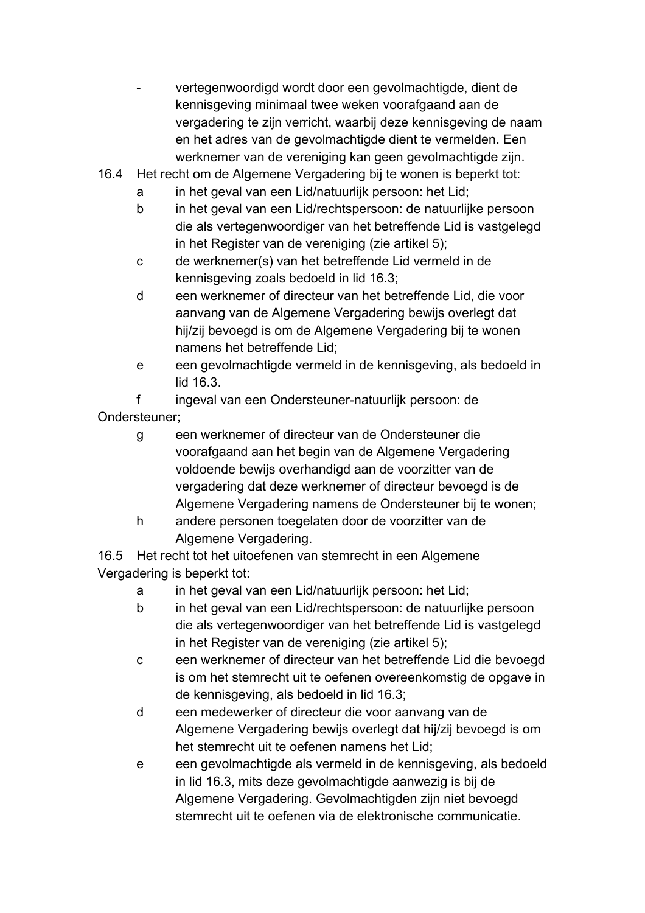- vertegenwoordigd wordt door een gevolmachtigde, dient de kennisgeving minimaal twee weken voorafgaand aan de vergadering te zijn verricht, waarbij deze kennisgeving de naam en het adres van de gevolmachtigde dient te vermelden. Een werknemer van de vereniging kan geen gevolmachtigde zijn.
- 16.4 Het recht om de Algemene Vergadering bij te wonen is beperkt tot:
	- a in het geval van een Lid/natuurlijk persoon: het Lid;
	- b in het geval van een Lid/rechtspersoon: de natuurlijke persoon die als vertegenwoordiger van het betreffende Lid is vastgelegd in het Register van de vereniging (zie artikel 5);
	- c de werknemer(s) van het betreffende Lid vermeld in de kennisgeving zoals bedoeld in lid 16.3;
	- d een werknemer of directeur van het betreffende Lid, die voor aanvang van de Algemene Vergadering bewijs overlegt dat hij/zij bevoegd is om de Algemene Vergadering bij te wonen namens het betreffende Lid;
	- e een gevolmachtigde vermeld in de kennisgeving, als bedoeld in lid 16.3.

f ingeval van een Ondersteuner-natuurlijk persoon: de Ondersteuner;

- g een werknemer of directeur van de Ondersteuner die voorafgaand aan het begin van de Algemene Vergadering voldoende bewijs overhandigd aan de voorzitter van de vergadering dat deze werknemer of directeur bevoegd is de Algemene Vergadering namens de Ondersteuner bij te wonen;
- h andere personen toegelaten door de voorzitter van de Algemene Vergadering.

16.5 Het recht tot het uitoefenen van stemrecht in een Algemene Vergadering is beperkt tot:

- a in het geval van een Lid/natuurlijk persoon: het Lid;
- b in het geval van een Lid/rechtspersoon: de natuurlijke persoon die als vertegenwoordiger van het betreffende Lid is vastgelegd in het Register van de vereniging (zie artikel 5);
- c een werknemer of directeur van het betreffende Lid die bevoegd is om het stemrecht uit te oefenen overeenkomstig de opgave in de kennisgeving, als bedoeld in lid 16.3;
- d een medewerker of directeur die voor aanvang van de Algemene Vergadering bewijs overlegt dat hij/zij bevoegd is om het stemrecht uit te oefenen namens het Lid;
- e een gevolmachtigde als vermeld in de kennisgeving, als bedoeld in lid 16.3, mits deze gevolmachtigde aanwezig is bij de Algemene Vergadering. Gevolmachtigden zijn niet bevoegd stemrecht uit te oefenen via de elektronische communicatie.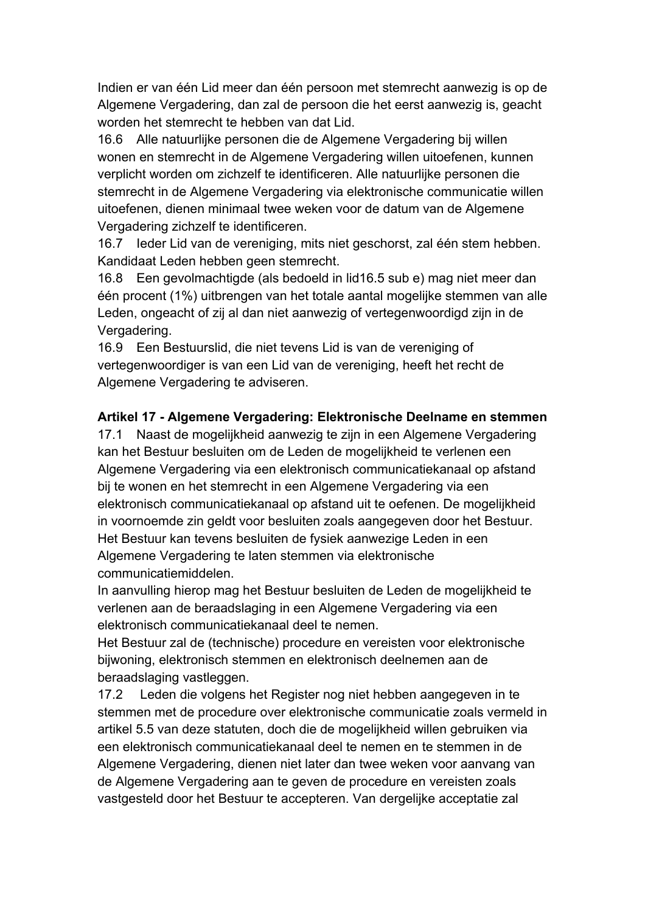Indien er van één Lid meer dan één persoon met stemrecht aanwezig is op de Algemene Vergadering, dan zal de persoon die het eerst aanwezig is, geacht worden het stemrecht te hebben van dat Lid.

16.6 Alle natuurlijke personen die de Algemene Vergadering bij willen wonen en stemrecht in de Algemene Vergadering willen uitoefenen, kunnen verplicht worden om zichzelf te identificeren. Alle natuurlijke personen die stemrecht in de Algemene Vergadering via elektronische communicatie willen uitoefenen, dienen minimaal twee weken voor de datum van de Algemene Vergadering zichzelf te identificeren.

16.7 Ieder Lid van de vereniging, mits niet geschorst, zal één stem hebben. Kandidaat Leden hebben geen stemrecht.

16.8 Een gevolmachtigde (als bedoeld in lid16.5 sub e) mag niet meer dan één procent (1%) uitbrengen van het totale aantal mogelijke stemmen van alle Leden, ongeacht of zij al dan niet aanwezig of vertegenwoordigd zijn in de Vergadering.

16.9 Een Bestuurslid, die niet tevens Lid is van de vereniging of vertegenwoordiger is van een Lid van de vereniging, heeft het recht de Algemene Vergadering te adviseren.

### **Artikel 17 - Algemene Vergadering: Elektronische Deelname en stemmen**

17.1 Naast de mogelijkheid aanwezig te zijn in een Algemene Vergadering kan het Bestuur besluiten om de Leden de mogelijkheid te verlenen een Algemene Vergadering via een elektronisch communicatiekanaal op afstand bij te wonen en het stemrecht in een Algemene Vergadering via een elektronisch communicatiekanaal op afstand uit te oefenen. De mogelijkheid in voornoemde zin geldt voor besluiten zoals aangegeven door het Bestuur. Het Bestuur kan tevens besluiten de fysiek aanwezige Leden in een Algemene Vergadering te laten stemmen via elektronische communicatiemiddelen.

In aanvulling hierop mag het Bestuur besluiten de Leden de mogelijkheid te verlenen aan de beraadslaging in een Algemene Vergadering via een elektronisch communicatiekanaal deel te nemen.

Het Bestuur zal de (technische) procedure en vereisten voor elektronische bijwoning, elektronisch stemmen en elektronisch deelnemen aan de beraadslaging vastleggen.

17.2 Leden die volgens het Register nog niet hebben aangegeven in te stemmen met de procedure over elektronische communicatie zoals vermeld in artikel 5.5 van deze statuten, doch die de mogelijkheid willen gebruiken via een elektronisch communicatiekanaal deel te nemen en te stemmen in de Algemene Vergadering, dienen niet later dan twee weken voor aanvang van de Algemene Vergadering aan te geven de procedure en vereisten zoals vastgesteld door het Bestuur te accepteren. Van dergelijke acceptatie zal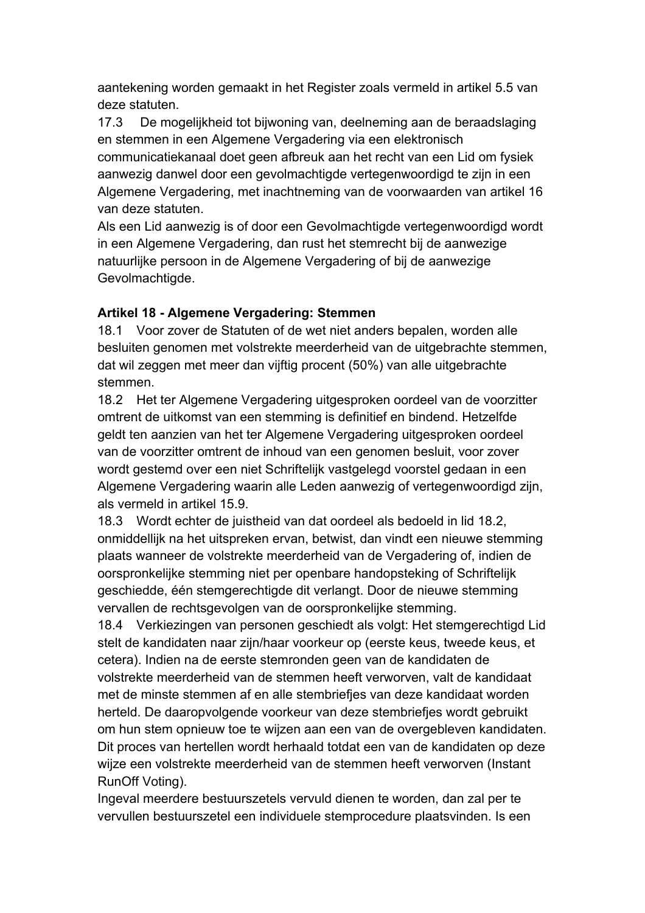aantekening worden gemaakt in het Register zoals vermeld in artikel 5.5 van deze statuten.

17.3 De mogelijkheid tot bijwoning van, deelneming aan de beraadslaging en stemmen in een Algemene Vergadering via een elektronisch communicatiekanaal doet geen afbreuk aan het recht van een Lid om fysiek aanwezig danwel door een gevolmachtigde vertegenwoordigd te zijn in een Algemene Vergadering, met inachtneming van de voorwaarden van artikel 16 van deze statuten.

Als een Lid aanwezig is of door een Gevolmachtigde vertegenwoordigd wordt in een Algemene Vergadering, dan rust het stemrecht bij de aanwezige natuurlijke persoon in de Algemene Vergadering of bij de aanwezige Gevolmachtigde.

#### **Artikel 18 - Algemene Vergadering: Stemmen**

18.1 Voor zover de Statuten of de wet niet anders bepalen, worden alle besluiten genomen met volstrekte meerderheid van de uitgebrachte stemmen, dat wil zeggen met meer dan vijftig procent (50%) van alle uitgebrachte stemmen.

18.2 Het ter Algemene Vergadering uitgesproken oordeel van de voorzitter omtrent de uitkomst van een stemming is definitief en bindend. Hetzelfde geldt ten aanzien van het ter Algemene Vergadering uitgesproken oordeel van de voorzitter omtrent de inhoud van een genomen besluit, voor zover wordt gestemd over een niet Schriftelijk vastgelegd voorstel gedaan in een Algemene Vergadering waarin alle Leden aanwezig of vertegenwoordigd zijn, als vermeld in artikel 15.9.

18.3 Wordt echter de juistheid van dat oordeel als bedoeld in lid 18.2, onmiddellijk na het uitspreken ervan, betwist, dan vindt een nieuwe stemming plaats wanneer de volstrekte meerderheid van de Vergadering of, indien de oorspronkelijke stemming niet per openbare handopsteking of Schriftelijk geschiedde, één stemgerechtigde dit verlangt. Door de nieuwe stemming vervallen de rechtsgevolgen van de oorspronkelijke stemming.

18.4 Verkiezingen van personen geschiedt als volgt: Het stemgerechtigd Lid stelt de kandidaten naar zijn/haar voorkeur op (eerste keus, tweede keus, et cetera). Indien na de eerste stemronden geen van de kandidaten de volstrekte meerderheid van de stemmen heeft verworven, valt de kandidaat met de minste stemmen af en alle stembriefjes van deze kandidaat worden herteld. De daaropvolgende voorkeur van deze stembriefjes wordt gebruikt om hun stem opnieuw toe te wijzen aan een van de overgebleven kandidaten. Dit proces van hertellen wordt herhaald totdat een van de kandidaten op deze wijze een volstrekte meerderheid van de stemmen heeft verworven (Instant RunOff Voting).

Ingeval meerdere bestuurszetels vervuld dienen te worden, dan zal per te vervullen bestuurszetel een individuele stemprocedure plaatsvinden. Is een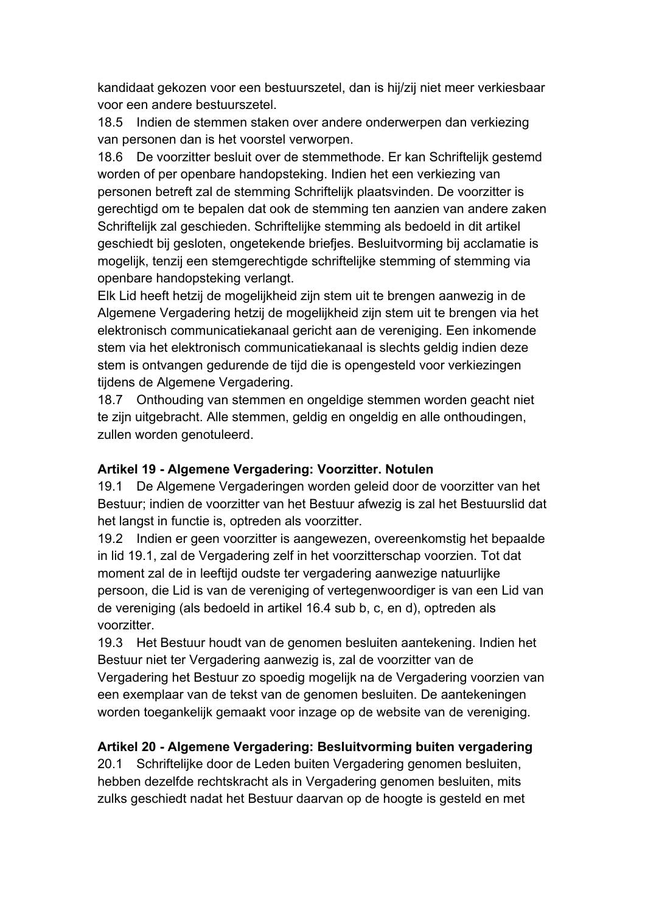kandidaat gekozen voor een bestuurszetel, dan is hij/zij niet meer verkiesbaar voor een andere bestuurszetel.

18.5 Indien de stemmen staken over andere onderwerpen dan verkiezing van personen dan is het voorstel verworpen.

18.6 De voorzitter besluit over de stemmethode. Er kan Schriftelijk gestemd worden of per openbare handopsteking. Indien het een verkiezing van personen betreft zal de stemming Schriftelijk plaatsvinden. De voorzitter is gerechtigd om te bepalen dat ook de stemming ten aanzien van andere zaken Schriftelijk zal geschieden. Schriftelijke stemming als bedoeld in dit artikel geschiedt bij gesloten, ongetekende briefjes. Besluitvorming bij acclamatie is mogelijk, tenzij een stemgerechtigde schriftelijke stemming of stemming via openbare handopsteking verlangt.

Elk Lid heeft hetzij de mogelijkheid zijn stem uit te brengen aanwezig in de Algemene Vergadering hetzij de mogelijkheid zijn stem uit te brengen via het elektronisch communicatiekanaal gericht aan de vereniging. Een inkomende stem via het elektronisch communicatiekanaal is slechts geldig indien deze stem is ontvangen gedurende de tijd die is opengesteld voor verkiezingen tijdens de Algemene Vergadering.

18.7 Onthouding van stemmen en ongeldige stemmen worden geacht niet te zijn uitgebracht. Alle stemmen, geldig en ongeldig en alle onthoudingen, zullen worden genotuleerd.

#### **Artikel 19 - Algemene Vergadering: Voorzitter. Notulen**

19.1 De Algemene Vergaderingen worden geleid door de voorzitter van het Bestuur; indien de voorzitter van het Bestuur afwezig is zal het Bestuurslid dat het langst in functie is, optreden als voorzitter.

19.2 Indien er geen voorzitter is aangewezen, overeenkomstig het bepaalde in lid 19.1, zal de Vergadering zelf in het voorzitterschap voorzien. Tot dat moment zal de in leeftijd oudste ter vergadering aanwezige natuurlijke persoon, die Lid is van de vereniging of vertegenwoordiger is van een Lid van de vereniging (als bedoeld in artikel 16.4 sub b, c, en d), optreden als voorzitter.

19.3 Het Bestuur houdt van de genomen besluiten aantekening. Indien het Bestuur niet ter Vergadering aanwezig is, zal de voorzitter van de Vergadering het Bestuur zo spoedig mogelijk na de Vergadering voorzien van een exemplaar van de tekst van de genomen besluiten. De aantekeningen worden toegankelijk gemaakt voor inzage op de website van de vereniging.

# **Artikel 20 - Algemene Vergadering: Besluitvorming buiten vergadering**

20.1 Schriftelijke door de Leden buiten Vergadering genomen besluiten, hebben dezelfde rechtskracht als in Vergadering genomen besluiten, mits zulks geschiedt nadat het Bestuur daarvan op de hoogte is gesteld en met